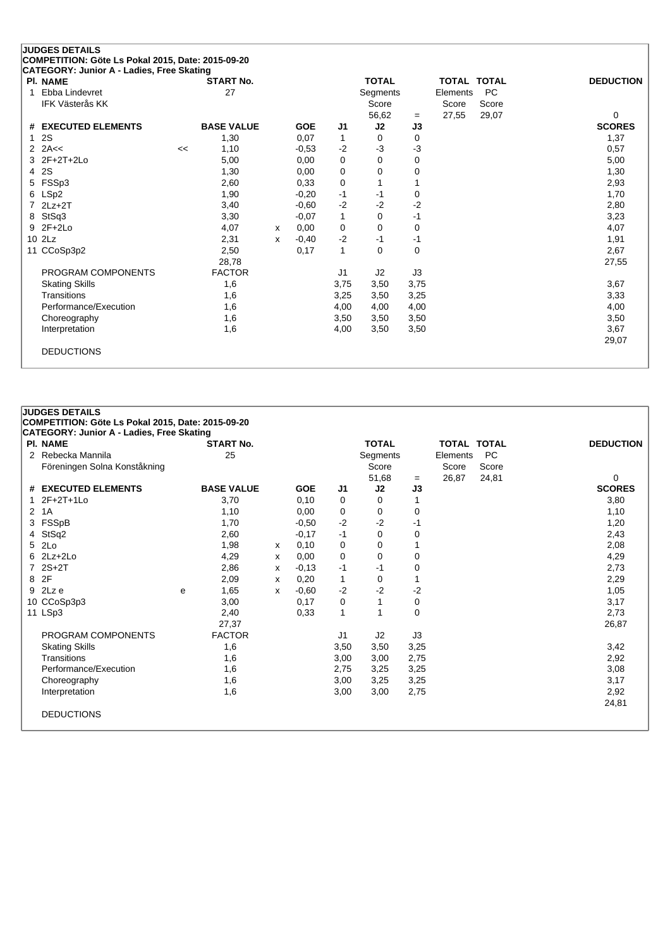| <b>PI. NAME</b>        |    | <b>START No.</b>  |   |            |                | <b>TOTAL</b>    |          |          | <b>TOTAL TOTAL</b> | <b>DEDUCTION</b> |
|------------------------|----|-------------------|---|------------|----------------|-----------------|----------|----------|--------------------|------------------|
| Ebba Lindevret<br>1    |    | 27                |   |            |                | <b>Segments</b> |          | Elements | <b>PC</b>          |                  |
| <b>IFK Västerås KK</b> |    |                   |   |            |                | Score           |          | Score    | Score              |                  |
|                        |    |                   |   |            |                | 56,62           | $=$      | 27,55    | 29,07              | 0                |
| # EXECUTED ELEMENTS    |    | <b>BASE VALUE</b> |   | <b>GOE</b> | J <sub>1</sub> | J2              | J3       |          |                    | <b>SCORES</b>    |
| 2S<br>1                |    | 1,30              |   | 0,07       | 1              | 0               | 0        |          |                    | 1,37             |
| 2A<<<br>$\mathcal{P}$  | << | 1,10              |   | $-0,53$    | $-2$           | $-3$            | -3       |          |                    | 0,57             |
| $2F+2T+2Lo$<br>3       |    | 5,00              |   | 0,00       | $\mathbf 0$    | 0               | 0        |          |                    | 5,00             |
| 2S<br>4                |    | 1,30              |   | 0,00       | 0              | 0               | 0        |          |                    | 1,30             |
| FSSp3<br>5             |    | 2,60              |   | 0.33       | 0              |                 |          |          |                    | 2,93             |
| LSp2<br>6              |    | 1,90              |   | $-0,20$    | $-1$           | $-1$            | 0        |          |                    | 1,70             |
| $2Lz+2T$               |    | 3,40              |   | $-0,60$    | $-2$           | $-2$            | $-2$     |          |                    | 2,80             |
| StSq3<br>8             |    | 3,30              |   | $-0.07$    | 1              | 0               | $-1$     |          |                    | 3,23             |
| $2F+2Lo$<br>9          |    | 4,07              | x | 0,00       | 0              | 0               | 0        |          |                    | 4,07             |
| 10 2Lz                 |    | 2,31              | x | $-0,40$    | $-2$           | -1              | -1       |          |                    | 1,91             |
| 11 CCoSp3p2            |    | 2,50              |   | 0,17       | $\mathbf{1}$   | 0               | $\Omega$ |          |                    | 2,67             |
|                        |    | 28,78             |   |            |                |                 |          |          |                    | 27,55            |
| PROGRAM COMPONENTS     |    | <b>FACTOR</b>     |   |            | J <sub>1</sub> | J2              | J3       |          |                    |                  |
| <b>Skating Skills</b>  |    | 1,6               |   |            | 3,75           | 3,50            | 3,75     |          |                    | 3,67             |
| Transitions            |    | 1,6               |   |            | 3,25           | 3,50            | 3,25     |          |                    | 3,33             |
| Performance/Execution  |    | 1,6               |   |            | 4,00           | 4,00            | 4,00     |          |                    | 4,00             |
| Choreography           |    | 1,6               |   |            | 3,50           | 3,50            | 3,50     |          |                    | 3,50             |
| Interpretation         |    | 1,6               |   |            | 4,00           | 3,50            | 3,50     |          |                    | 3,67             |
|                        |    |                   |   |            |                |                 |          |          |                    | 29,07            |

| <b>JUDGES DETAILS</b>                             |   |                   |   |            |                |              |      |                    |           |                  |
|---------------------------------------------------|---|-------------------|---|------------|----------------|--------------|------|--------------------|-----------|------------------|
| COMPETITION: Göte Ls Pokal 2015, Date: 2015-09-20 |   |                   |   |            |                |              |      |                    |           |                  |
| <b>CATEGORY: Junior A - Ladies, Free Skating</b>  |   |                   |   |            |                |              |      |                    |           |                  |
| <b>PI. NAME</b>                                   |   | <b>START No.</b>  |   |            |                | <b>TOTAL</b> |      | <b>TOTAL TOTAL</b> |           | <b>DEDUCTION</b> |
| 2 Rebecka Mannila                                 |   | 25                |   |            |                | Segments     |      | Elements           | <b>PC</b> |                  |
| Föreningen Solna Konståkning                      |   |                   |   |            |                | Score        |      | Score              | Score     |                  |
|                                                   |   |                   |   |            |                | 51,68        | $=$  | 26,87              | 24,81     | 0                |
| # EXECUTED ELEMENTS                               |   | <b>BASE VALUE</b> |   | <b>GOE</b> | J1             | J2           | J3   |                    |           | <b>SCORES</b>    |
| $2F+2T+1L0$                                       |   | 3,70              |   | 0,10       | 0              | 0            |      |                    |           | 3,80             |
| 2 1A                                              |   | 1,10              |   | 0,00       | 0              | 0            | 0    |                    |           | 1,10             |
| 3 FSSpB                                           |   | 1,70              |   | $-0.50$    | $-2$           | $-2$         | -1   |                    |           | 1,20             |
| 4 StSq2                                           |   | 2,60              |   | $-0,17$    | $-1$           | $\Omega$     | 0    |                    |           | 2,43             |
| 5 2Lo                                             |   | 1,98              | X | 0,10       | 0              | 0            |      |                    |           | 2,08             |
| $6$ 2Lz+2Lo                                       |   | 4,29              | x | 0,00       | 0              | 0            | 0    |                    |           | 4,29             |
| $72S+2T$                                          |   | 2,86              | х | $-0,13$    | $-1$           | -1           | 0    |                    |           | 2,73             |
| 8 2F                                              |   | 2,09              | X | 0,20       | 1              | 0            | 1    |                    |           | 2,29             |
| $9$ 2Lz e                                         | e | 1,65              | X | $-0.60$    | $-2$           | $-2$         | $-2$ |                    |           | 1,05             |
| 10 CCoSp3p3                                       |   | 3,00              |   | 0,17       | 0              | 1            | 0    |                    |           | 3,17             |
| 11 LSp3                                           |   | 2,40              |   | 0,33       | 1              | 1            | 0    |                    |           | 2,73             |
|                                                   |   | 27,37             |   |            |                |              |      |                    |           | 26,87            |
| PROGRAM COMPONENTS                                |   | <b>FACTOR</b>     |   |            | J <sub>1</sub> | J2           | J3   |                    |           |                  |
| <b>Skating Skills</b>                             |   | 1,6               |   |            | 3,50           | 3,50         | 3,25 |                    |           | 3,42             |
| Transitions                                       |   | 1,6               |   |            | 3,00           | 3,00         | 2,75 |                    |           | 2,92             |
| Performance/Execution                             |   | 1,6               |   |            | 2,75           | 3,25         | 3,25 |                    |           | 3,08             |
| Choreography                                      |   | 1,6               |   |            | 3,00           | 3,25         | 3,25 |                    |           | 3,17             |
| Interpretation                                    |   | 1,6               |   |            | 3,00           | 3,00         | 2,75 |                    |           | 2,92             |
|                                                   |   |                   |   |            |                |              |      |                    |           | 24,81            |
| <b>DEDUCTIONS</b>                                 |   |                   |   |            |                |              |      |                    |           |                  |
|                                                   |   |                   |   |            |                |              |      |                    |           |                  |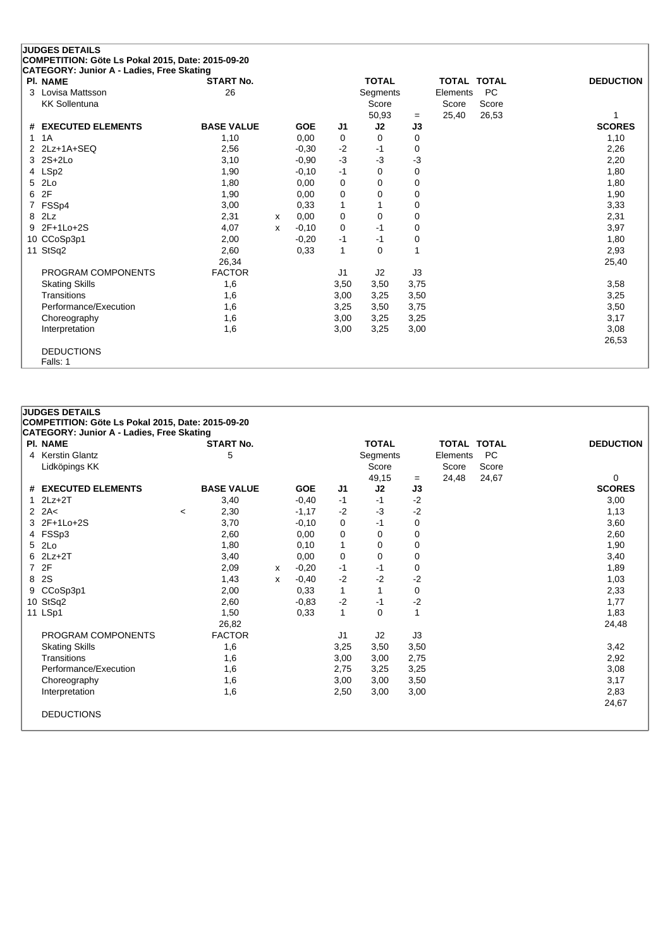| <b>PI. NAME</b>       | <b>START No.</b>  |   |            |                | <b>TOTAL</b>   |      | <b>TOTAL TOTAL</b> |           | <b>DEDUCTION</b> |
|-----------------------|-------------------|---|------------|----------------|----------------|------|--------------------|-----------|------------------|
| Lovisa Mattsson<br>3  | 26                |   |            |                | Segments       |      | Elements           | <b>PC</b> |                  |
| <b>KK Sollentuna</b>  |                   |   |            |                | Score          |      | Score              | Score     |                  |
|                       |                   |   |            |                | 50,93          | $=$  | 25,40              | 26,53     | 1                |
| # EXECUTED ELEMENTS   | <b>BASE VALUE</b> |   | <b>GOE</b> | J1             | J2             | J3   |                    |           | <b>SCORES</b>    |
| 1A<br>1               | 1,10              |   | 0,00       | 0              | 0              | 0    |                    |           | 1,10             |
| 2Lz+1A+SEQ<br>2       | 2,56              |   | $-0,30$    | $-2$           | -1             | 0    |                    |           | 2,26             |
| $2S+2Lo$<br>3         | 3,10              |   | $-0,90$    | $-3$           | $-3$           | $-3$ |                    |           | 2,20             |
| LSp2<br>4             | 1,90              |   | $-0,10$    | $-1$           | 0              | 0    |                    |           | 1,80             |
| 2Lo<br>5              | 1,80              |   | 0,00       | 0              | 0              | 0    |                    |           | 1,80             |
| 2F<br>6               | 1,90              |   | 0,00       | 0              | 0              | 0    |                    |           | 1,90             |
| FSSp4                 | 3,00              |   | 0,33       | 1              |                | 0    |                    |           | 3,33             |
| 2Lz<br>8              | 2,31              | X | 0,00       | 0              | 0              | 0    |                    |           | 2,31             |
| 2F+1Lo+2S<br>9        | 4,07              | x | $-0,10$    | 0              | $-1$           | 0    |                    |           | 3,97             |
| 10 CCoSp3p1           | 2,00              |   | $-0,20$    | $-1$           | $-1$           | 0    |                    |           | 1,80             |
| 11 StSq2              | 2,60              |   | 0,33       | $\mathbf{1}$   | 0              |      |                    |           | 2,93             |
|                       | 26,34             |   |            |                |                |      |                    |           | 25,40            |
| PROGRAM COMPONENTS    | <b>FACTOR</b>     |   |            | J <sub>1</sub> | J <sub>2</sub> | J3   |                    |           |                  |
| <b>Skating Skills</b> | 1,6               |   |            | 3,50           | 3,50           | 3,75 |                    |           | 3,58             |
| Transitions           | 1,6               |   |            | 3,00           | 3,25           | 3,50 |                    |           | 3,25             |
| Performance/Execution | 1,6               |   |            | 3,25           | 3,50           | 3,75 |                    |           | 3,50             |
| Choreography          | 1,6               |   |            | 3,00           | 3,25           | 3,25 |                    |           | 3,17             |
| Interpretation        | 1,6               |   |            | 3,00           | 3,25           | 3,00 |                    |           | 3,08             |
|                       |                   |   |            |                |                |      |                    |           | 26,53            |

#### **COMPETITION: Göte Ls Pokal 2015, Date: 2015-09-20 CATEGORY: Junior A - Ladies, Free Skating Pl. NAME START No. TOTAL TOTAL TOTAL DEDUCTION** 4 Kerstin Glantz **6 Segments** 5 Segments Elements PC Lidköpings KK Score Score Score Score Score Score Score Score Score Score Score Score Score Score Score Score Score Score Score Score Score Score Score Score Score Score Score Score Score Score Score Score Score Score Scor  $-$  24,48 24,67 0<br>J3 SCORES **# EXECUTED ELEMENTS BASE VALUE GOE J1 J2 J3 SCORES** 1 2Lz+2T 3,40 -0,40 -1 -1 -2 3,00 2 2A< <sup>&</sup>lt; 2,30 -1,17 -2 -3 -2 1,13 3 2F+1Lo+2S 3,70 -0,10 0 -1 0 3,60 4 FSSp3 2,60 0,00 0 0 0 2,60 5 2Lo 1,80 0,10 1 0 0 1,90 6 2Lz+2T 3,40 0,00 0 0 0 3,40 7 2F 2,09 <sup>x</sup> -0,20 -1 -1 0 1,89 8 2S 1,43 <sup>x</sup> -0,40 -2 -2 -2 1,03 9 CCoSp3p1 2,00 0,33 1 1 0 2,33 10 StSq2 2,60 -0,83 -2 -1 -2 1,77 11 LSp1 1,50 0,33 1 0 1 1,83 26,82 24,48 PROGRAM COMPONENTS FACTOR J1 J2 J3 Skating Skills 1,6 3,25 3,50 3,50 3,42 Transitions 1,6 3,00 3,00 2,75 2,92 Performance/Execution 1,6 2,75 3,25 3,25 3,08 3,08 3,17 3,17 3,17 3,17 3,17 3,17 Choreography 1,6 3,00 3,00 3,50 Interpretation 1,6 2,50 3,00 3,00 2,83

24,67

DEDUCTIONS

**JUDGES DETAILS**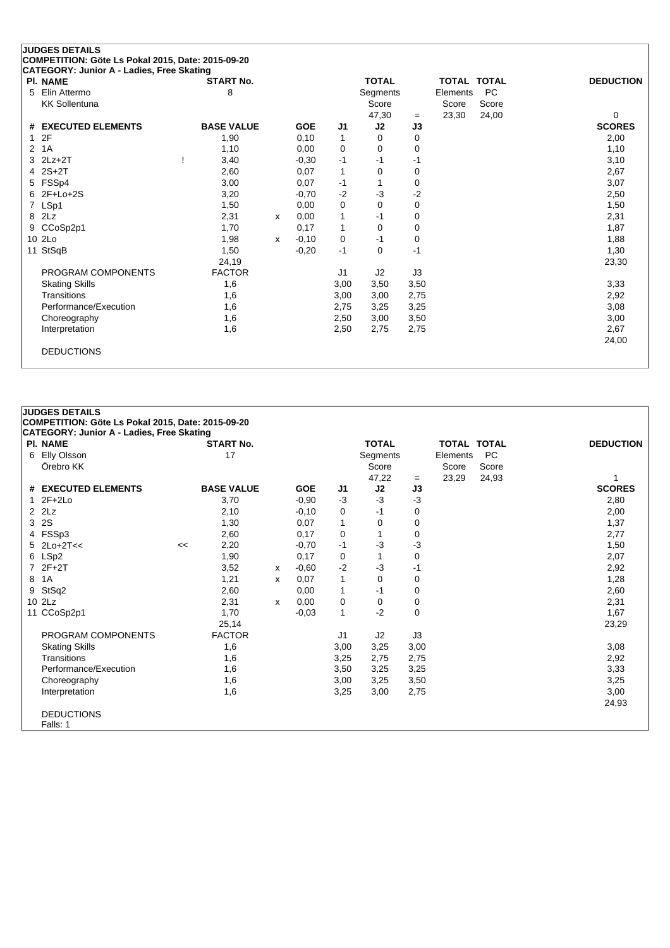| <b>JUDGES DETAILS</b>                             |                   |   |            |                |              |             |          |                    |                  |
|---------------------------------------------------|-------------------|---|------------|----------------|--------------|-------------|----------|--------------------|------------------|
| COMPETITION: Göte Ls Pokal 2015, Date: 2015-09-20 |                   |   |            |                |              |             |          |                    |                  |
| CATEGORY: Junior A - Ladies, Free Skating         |                   |   |            |                |              |             |          |                    |                  |
| <b>PI. NAME</b>                                   | <b>START No.</b>  |   |            |                | <b>TOTAL</b> |             |          | <b>TOTAL TOTAL</b> | <b>DEDUCTION</b> |
| Elin Attermo<br>5                                 | 8                 |   |            |                | Segments     |             | Elements | <b>PC</b>          |                  |
| <b>KK Sollentuna</b>                              |                   |   |            |                | Score        |             | Score    | Score              |                  |
|                                                   |                   |   |            |                | 47,30        | $=$         | 23,30    | 24,00              | 0                |
| <b>EXECUTED ELEMENTS</b><br>#                     | <b>BASE VALUE</b> |   | <b>GOE</b> | J <sub>1</sub> | J2           | J3          |          |                    | <b>SCORES</b>    |
| 2F<br>-1                                          | 1,90              |   | 0,10       | 1              | 0            | $\mathbf 0$ |          |                    | 2,00             |
| 1A<br>2                                           | 1,10              |   | 0,00       | 0              | $\Omega$     | $\mathbf 0$ |          |                    | 1,10             |
| $2Lz+2T$<br>3                                     | 3,40              |   | $-0,30$    | $-1$           | $-1$         | $-1$        |          |                    | 3,10             |
| $2S+2T$<br>4                                      | 2,60              |   | 0,07       | 1              | 0            | 0           |          |                    | 2,67             |
| FSSp4<br>5                                        | 3,00              |   | 0,07       | $-1$           | 1            | 0           |          |                    | 3,07             |
| $2F+Lo+2S$<br>6                                   | 3,20              |   | $-0,70$    | $-2$           | $-3$         | $-2$        |          |                    | 2,50             |
| LSp1<br>7                                         | 1,50              |   | 0,00       | 0              | $\Omega$     | $\Omega$    |          |                    | 1,50             |
| 2Lz<br>8                                          | 2,31              | x | 0,00       | 1              | $-1$         | 0           |          |                    | 2,31             |
| CCoSp2p1<br>9                                     | 1,70              |   | 0,17       | 1              | $\Omega$     | 0           |          |                    | 1,87             |
| 10 2Lo                                            | 1,98              | x | $-0,10$    | 0              | $-1$         | $\mathbf 0$ |          |                    | 1,88             |
| StSqB<br>11                                       | 1,50              |   | $-0,20$    | $-1$           | $\Omega$     | $-1$        |          |                    | 1,30             |
|                                                   | 24,19             |   |            |                |              |             |          |                    | 23,30            |
| PROGRAM COMPONENTS                                | <b>FACTOR</b>     |   |            | J1             | J2           | J3          |          |                    |                  |
| <b>Skating Skills</b>                             | 1,6               |   |            | 3,00           | 3,50         | 3,50        |          |                    | 3,33             |
| Transitions                                       | 1,6               |   |            | 3,00           | 3,00         | 2,75        |          |                    | 2,92             |
| Performance/Execution                             | 1,6               |   |            | 2,75           | 3,25         | 3,25        |          |                    | 3,08             |
| Choreography                                      | 1,6               |   |            | 2,50           | 3,00         | 3,50        |          |                    | 3,00             |
| Interpretation                                    | 1,6               |   |            | 2,50           | 2,75         | 2,75        |          |                    | 2,67             |
|                                                   |                   |   |            |                |              |             |          |                    | 24,00            |
| <b>DEDUCTIONS</b>                                 |                   |   |            |                |              |             |          |                    |                  |
|                                                   |                   |   |            |                |              |             |          |                    |                  |

# **JUDGES DETAILS COMPETITION: Göte Ls Pokal 2015, Date: 2015-09-20**

|   | CATEGORY: Junior A - Ladies, Free Skating |    |                   |   |            |              |              |      |                    |           |                  |
|---|-------------------------------------------|----|-------------------|---|------------|--------------|--------------|------|--------------------|-----------|------------------|
|   | PI. NAME                                  |    | <b>START No.</b>  |   |            |              | <b>TOTAL</b> |      | <b>TOTAL TOTAL</b> |           | <b>DEDUCTION</b> |
|   | 6 Elly Olsson                             |    | 17                |   |            |              | Segments     |      | Elements           | <b>PC</b> |                  |
|   | Örebro KK                                 |    |                   |   |            |              | Score        |      | Score              | Score     |                  |
|   |                                           |    |                   |   |            |              | 47,22        | $=$  | 23,29              | 24,93     |                  |
|   | # EXECUTED ELEMENTS                       |    | <b>BASE VALUE</b> |   | <b>GOE</b> | J1           | J2           | J3   |                    |           | <b>SCORES</b>    |
|   | $1 2F+2Lo$                                |    | 3,70              |   | $-0.90$    | $-3$         | $-3$         | -3   |                    |           | 2,80             |
|   | $2$ $2$ Lz                                |    | 2,10              |   | $-0,10$    | 0            | -1           | 0    |                    |           | 2,00             |
|   | 3 2S                                      |    | 1,30              |   | 0,07       | $\mathbf{1}$ | 0            | 0    |                    |           | 1,37             |
|   | 4 FSSp3                                   |    | 2,60              |   | 0,17       | 0            | 1            | 0    |                    |           | 2,77             |
|   | $5$ 2Lo+2T<<                              | << | 2,20              |   | $-0,70$    | $-1$         | $-3$         | -3   |                    |           | 1,50             |
|   | 6 LSp2                                    |    | 1,90              |   | 0,17       | 0            |              | 0    |                    |           | 2,07             |
|   | 7 2F+2T                                   |    | 3,52              | х | $-0.60$    | $-2$         | $-3$         | -1   |                    |           | 2,92             |
| 8 | 1A                                        |    | 1,21              | x | 0,07       | $\mathbf{1}$ | 0            | 0    |                    |           | 1,28             |
|   | 9 StSq2                                   |    | 2,60              |   | 0,00       | 1            | -1           | 0    |                    |           | 2,60             |
|   | 10 2Lz                                    |    | 2,31              | x | 0,00       | 0            | 0            | 0    |                    |           | 2,31             |
|   | 11 CCoSp2p1                               |    | 1,70              |   | $-0,03$    | 1            | $-2$         | 0    |                    |           | 1,67             |
|   |                                           |    | 25,14             |   |            |              |              |      |                    |           | 23,29            |
|   | PROGRAM COMPONENTS                        |    | <b>FACTOR</b>     |   |            | J1           | J2           | J3   |                    |           |                  |
|   | <b>Skating Skills</b>                     |    | 1,6               |   |            | 3,00         | 3,25         | 3,00 |                    |           | 3,08             |
|   | Transitions                               |    | 1,6               |   |            | 3,25         | 2,75         | 2,75 |                    |           | 2,92             |
|   | Performance/Execution                     |    | 1,6               |   |            | 3,50         | 3,25         | 3,25 |                    |           | 3,33             |
|   | Choreography                              |    | 1,6               |   |            | 3,00         | 3,25         | 3,50 |                    |           | 3,25             |
|   | Interpretation                            |    | 1,6               |   |            | 3,25         | 3,00         | 2,75 |                    |           | 3,00             |
|   |                                           |    |                   |   |            |              |              |      |                    |           | 24,93            |
|   | <b>DEDUCTIONS</b>                         |    |                   |   |            |              |              |      |                    |           |                  |
|   | Falls: 1                                  |    |                   |   |            |              |              |      |                    |           |                  |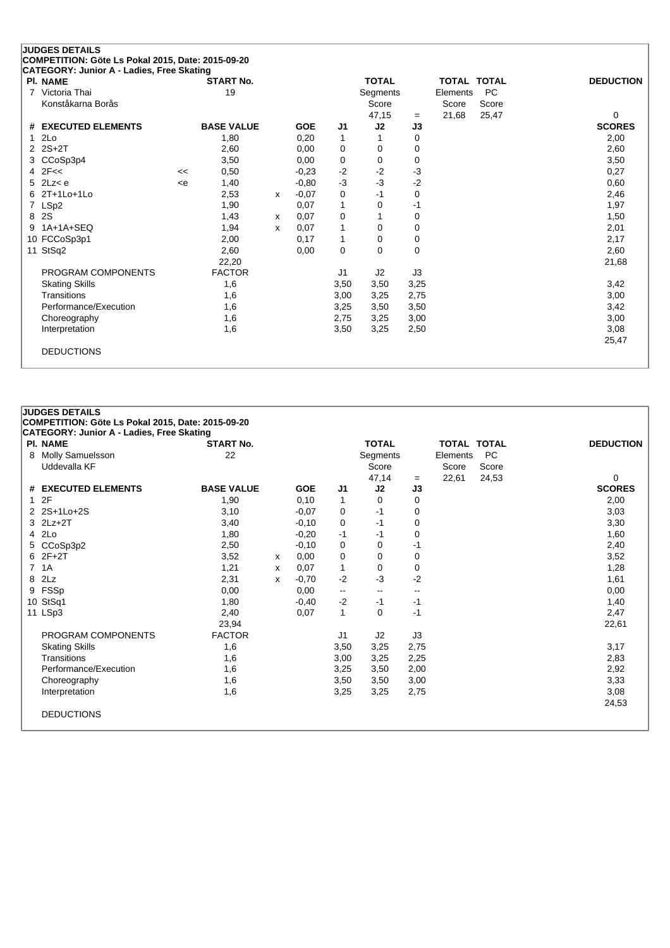|    | <b>JUDGES DETAILS</b>                                                                          |     |                   |   |            |                |                 |          |                    |           |                  |
|----|------------------------------------------------------------------------------------------------|-----|-------------------|---|------------|----------------|-----------------|----------|--------------------|-----------|------------------|
|    | COMPETITION: Göte Ls Pokal 2015, Date: 2015-09-20<br>CATEGORY: Junior A - Ladies, Free Skating |     |                   |   |            |                |                 |          |                    |           |                  |
|    | <b>PI. NAME</b>                                                                                |     | <b>START No.</b>  |   |            |                | <b>TOTAL</b>    |          | <b>TOTAL TOTAL</b> |           | <b>DEDUCTION</b> |
| 7  | Victoria Thai                                                                                  |     | 19                |   |            |                | <b>Segments</b> |          | Elements           | <b>PC</b> |                  |
|    | Konståkarna Borås                                                                              |     |                   |   |            |                | Score           |          | Score              | Score     |                  |
|    |                                                                                                |     |                   |   |            |                | 47,15           | $=$      | 21,68              | 25,47     | 0                |
|    | # EXECUTED ELEMENTS                                                                            |     | <b>BASE VALUE</b> |   | <b>GOE</b> | J1             | J2              | J3       |                    |           | <b>SCORES</b>    |
| 1. | 2Lo                                                                                            |     | 1,80              |   | 0,20       | $\mathbf{1}$   |                 | 0        |                    |           | 2,00             |
|    | 2 2S+2T                                                                                        |     | 2,60              |   | 0.00       | 0              | 0               | 0        |                    |           | 2,60             |
|    | CCoSp3p4                                                                                       |     | 3,50              |   | 0,00       | 0              | 0               | 0        |                    |           | 3,50             |
|    | $4$ $2F <$                                                                                     | <<  | 0,50              |   | $-0,23$    | $-2$           | $-2$            | $-3$     |                    |           | 0,27             |
|    | $5$ 2Lz $<$ e                                                                                  | < e | 1,40              |   | $-0.80$    | $-3$           | $-3$            | $-2$     |                    |           | 0,60             |
| 6  | $2T+1$ Lo $+1$ Lo                                                                              |     | 2,53              | X | $-0.07$    | 0              | $-1$            | 0        |                    |           | 2,46             |
| 7  | LSp2                                                                                           |     | 1,90              |   | 0,07       | 1              | 0               | $-1$     |                    |           | 1,97             |
| 8  | 2S                                                                                             |     | 1,43              | x | 0,07       | 0              |                 | 0        |                    |           | 1,50             |
| 9  | $1A+1A+SEQ$                                                                                    |     | 1,94              | x | 0,07       | 1              | 0               | 0        |                    |           | 2,01             |
|    | 10 FCCoSp3p1                                                                                   |     | 2,00              |   | 0,17       | $\mathbf{1}$   | 0               | 0        |                    |           | 2,17             |
|    | 11 StSq2                                                                                       |     | 2,60              |   | 0,00       | 0              | $\Omega$        | $\Omega$ |                    |           | 2,60             |
|    |                                                                                                |     | 22,20             |   |            |                |                 |          |                    |           | 21,68            |
|    | PROGRAM COMPONENTS                                                                             |     | <b>FACTOR</b>     |   |            | J <sub>1</sub> | J2              | J3       |                    |           |                  |
|    | <b>Skating Skills</b>                                                                          |     | 1,6               |   |            | 3,50           | 3,50            | 3,25     |                    |           | 3,42             |
|    | Transitions                                                                                    |     | 1,6               |   |            | 3,00           | 3,25            | 2,75     |                    |           | 3,00             |
|    | Performance/Execution                                                                          |     | 1,6               |   |            | 3,25           | 3,50            | 3,50     |                    |           | 3,42             |
|    | Choreography                                                                                   |     | 1,6               |   |            | 2,75           | 3,25            | 3,00     |                    |           | 3,00             |
|    | Interpretation                                                                                 |     | 1,6               |   |            | 3,50           | 3,25            | 2,50     |                    |           | 3,08             |
|    |                                                                                                |     |                   |   |            |                |                 |          |                    |           | 25,47            |
|    | <b>DEDUCTIONS</b>                                                                              |     |                   |   |            |                |                 |          |                    |           |                  |
|    |                                                                                                |     |                   |   |            |                |                 |          |                    |           |                  |

# **JUDGES DETAILS**

**COMPETITION: Göte Ls Pokal 2015, Date: 2015-09-20**

| PI. NAME              | <b>START No.</b>  |   |            |      | <b>TOTAL</b> |      | <b>TOTAL TOTAL</b> |           | <b>DEDUCTION</b> |
|-----------------------|-------------------|---|------------|------|--------------|------|--------------------|-----------|------------------|
| 8 Molly Samuelsson    | 22                |   |            |      | Segments     |      | Elements           | <b>PC</b> |                  |
| Uddevalla KF          |                   |   |            |      | Score        |      | Score              | Score     |                  |
|                       |                   |   |            |      | 47,14        | $=$  | 22,61              | 24,53     | 0                |
| # EXECUTED ELEMENTS   | <b>BASE VALUE</b> |   | <b>GOE</b> | J1   | J2           | J3   |                    |           | <b>SCORES</b>    |
| 12F                   | 1,90              |   | 0, 10      | 1    | 0            | 0    |                    |           | 2,00             |
| 2 2S+1Lo+2S           | 3,10              |   | $-0,07$    | 0    | -1           | 0    |                    |           | 3,03             |
| $3$ $2Lz+2T$          | 3,40              |   | $-0,10$    | 0    | -1           | 0    |                    |           | 3,30             |
| 4 2Lo                 | 1,80              |   | $-0,20$    | -1   | -1           | 0    |                    |           | 1,60             |
| 5 CCoSp3p2            | 2,50              |   | $-0,10$    | 0    | 0            | -1   |                    |           | 2,40             |
| $62F+2T$              | 3,52              | x | 0,00       | 0    | 0            | 0    |                    |           | 3,52             |
| 7 1A                  | 1,21              | x | 0,07       | 1    | 0            | 0    |                    |           | 1,28             |
| 8 2Lz                 | 2,31              | x | $-0,70$    | $-2$ | $-3$         | $-2$ |                    |           | 1,61             |
| 9 FSSp                | 0,00              |   | 0,00       | --   | $\sim$       | --   |                    |           | 0,00             |
| 10 StSq1              | 1,80              |   | $-0,40$    | $-2$ | $-1$         | -1   |                    |           | 1,40             |
| 11 LSp3               | 2,40              |   | 0,07       | 1    | 0            | $-1$ |                    |           | 2,47             |
|                       | 23,94             |   |            |      |              |      |                    |           | 22,61            |
| PROGRAM COMPONENTS    | <b>FACTOR</b>     |   |            | J1   | J2           | J3   |                    |           |                  |
| <b>Skating Skills</b> | 1,6               |   |            | 3,50 | 3,25         | 2,75 |                    |           | 3,17             |
| Transitions           | 1,6               |   |            | 3,00 | 3,25         | 2,25 |                    |           | 2,83             |
| Performance/Execution | 1,6               |   |            | 3,25 | 3,50         | 2,00 |                    |           | 2,92             |
| Choreography          | 1,6               |   |            | 3,50 | 3,50         | 3,00 |                    |           | 3,33             |
| Interpretation        | 1,6               |   |            | 3,25 | 3,25         | 2,75 |                    |           | 3,08             |
|                       |                   |   |            |      |              |      |                    |           | 24,53            |
| <b>DEDUCTIONS</b>     |                   |   |            |      |              |      |                    |           |                  |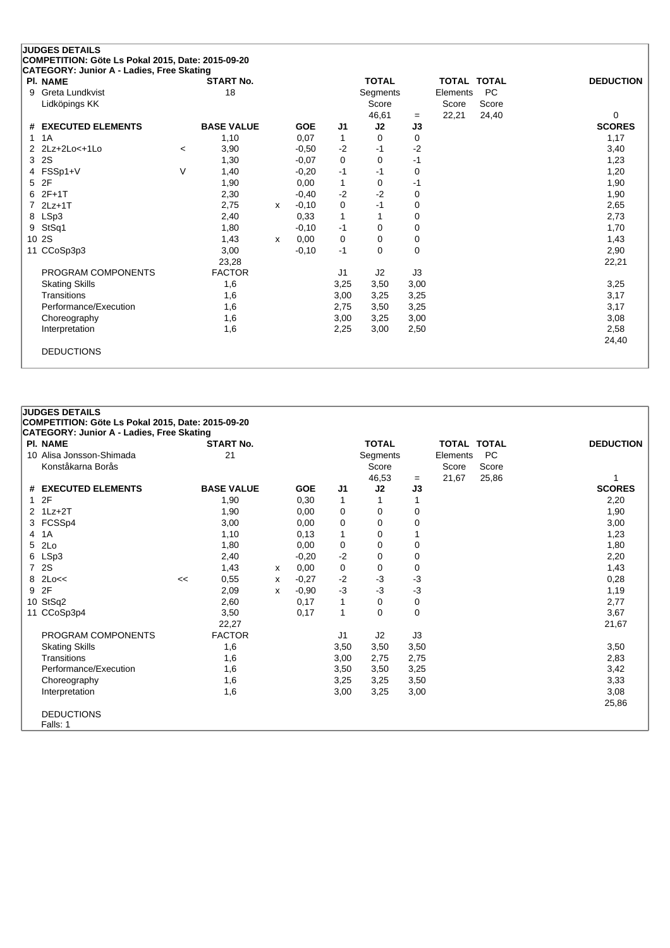| CATEGORY: Junior A - Ladies, Free Skating<br><b>PI. NAME</b> |                          | <b>START No.</b>  |   |            |              | <b>TOTAL</b> |          | <b>TOTAL TOTAL</b> |           | <b>DEDUCTION</b> |
|--------------------------------------------------------------|--------------------------|-------------------|---|------------|--------------|--------------|----------|--------------------|-----------|------------------|
| Greta Lundkvist<br>9                                         |                          | 18                |   |            |              | Segments     |          | Elements           | <b>PC</b> |                  |
| Lidköpings KK                                                |                          |                   |   |            |              | Score        |          | Score              | Score     |                  |
|                                                              |                          |                   |   |            |              | 46,61        | $=$      | 22,21              | 24,40     | 0                |
| # EXECUTED ELEMENTS                                          |                          | <b>BASE VALUE</b> |   | <b>GOE</b> | J1           | J2           | J3       |                    |           | <b>SCORES</b>    |
| 1A<br>1.                                                     |                          | 1,10              |   | 0,07       | 1            | 0            | 0        |                    |           | 1,17             |
| 2Lz+2Lo<+1Lo<br>2                                            | $\overline{\phantom{0}}$ | 3,90              |   | $-0.50$    | $-2$         | -1           | $-2$     |                    |           | 3,40             |
| 2S<br>3                                                      |                          | 1,30              |   | $-0.07$    | 0            | $\Omega$     | $-1$     |                    |           | 1,23             |
| FSSp1+V<br>4                                                 | V                        | 1,40              |   | $-0,20$    | $-1$         | -1           | 0        |                    |           | 1,20             |
| 2F<br>5                                                      |                          | 1,90              |   | 0.00       | $\mathbf{1}$ | 0            | -1       |                    |           | 1,90             |
| $2F+1T$<br>6                                                 |                          | 2,30              |   | $-0,40$    | $-2$         | $-2$         | $\Omega$ |                    |           | 1,90             |
| $2Lz+1T$                                                     |                          | 2,75              | x | $-0,10$    | 0            | $-1$         | 0        |                    |           | 2,65             |
| 8 LSp3                                                       |                          | 2,40              |   | 0,33       | $\mathbf{1}$ |              | 0        |                    |           | 2,73             |
| StSq1<br>9                                                   |                          | 1,80              |   | $-0,10$    | $-1$         | 0            | 0        |                    |           | 1,70             |
| 10 2S                                                        |                          | 1,43              | x | 0,00       | 0            | 0            | 0        |                    |           | 1,43             |
| 11 CCoSp3p3                                                  |                          | 3,00              |   | $-0,10$    | $-1$         | 0            | $\Omega$ |                    |           | 2,90             |
|                                                              |                          | 23,28             |   |            |              |              |          |                    |           | 22,21            |
| PROGRAM COMPONENTS                                           |                          | <b>FACTOR</b>     |   |            | J1           | J2           | J3       |                    |           |                  |
| <b>Skating Skills</b>                                        |                          | 1,6               |   |            | 3,25         | 3,50         | 3,00     |                    |           | 3,25             |
| Transitions                                                  |                          | 1,6               |   |            | 3,00         | 3,25         | 3,25     |                    |           | 3,17             |
| Performance/Execution                                        |                          | 1,6               |   |            | 2,75         | 3,50         | 3,25     |                    |           | 3,17             |
| Choreography                                                 |                          | 1,6               |   |            | 3,00         | 3,25         | 3,00     |                    |           | 3,08             |
| Interpretation                                               |                          | 1,6               |   |            | 2,25         | 3,00         | 2,50     |                    |           | 2,58             |
|                                                              |                          |                   |   |            |              |              |          |                    |           | 24,40            |

| <b>JUDGES DETAILS</b>                             |    |                   |   |            |              |              |          |                    |           |                  |
|---------------------------------------------------|----|-------------------|---|------------|--------------|--------------|----------|--------------------|-----------|------------------|
| COMPETITION: Göte Ls Pokal 2015, Date: 2015-09-20 |    |                   |   |            |              |              |          |                    |           |                  |
| <b>CATEGORY: Junior A - Ladies, Free Skating</b>  |    |                   |   |            |              |              |          |                    |           |                  |
| <b>PI. NAME</b>                                   |    | <b>START No.</b>  |   |            |              | <b>TOTAL</b> |          | <b>TOTAL TOTAL</b> |           | <b>DEDUCTION</b> |
| 10 Alisa Jonsson-Shimada                          |    | 21                |   |            |              | Segments     |          | Elements           | <b>PC</b> |                  |
| Konståkarna Borås                                 |    |                   |   |            |              | Score        |          | Score              | Score     |                  |
|                                                   |    |                   |   |            |              | 46,53        | $=$      | 21,67              | 25,86     |                  |
| # EXECUTED ELEMENTS                               |    | <b>BASE VALUE</b> |   | <b>GOE</b> | J1           | J2           | J3       |                    |           | <b>SCORES</b>    |
| 12F                                               |    | 1,90              |   | 0,30       | $\mathbf 1$  |              | 1        |                    |           | 2,20             |
| $2$ 1Lz+2T                                        |    | 1,90              |   | 0,00       | 0            | 0            | 0        |                    |           | 1,90             |
| 3 FCSSp4                                          |    | 3,00              |   | 0.00       | 0            | 0            | 0        |                    |           | 3,00             |
| 4 1A                                              |    | 1,10              |   | 0,13       | $\mathbf{1}$ | 0            |          |                    |           | 1,23             |
| 5 2Lo                                             |    | 1,80              |   | 0,00       | 0            | 0            | 0        |                    |           | 1,80             |
| 6 LSp3                                            |    | 2,40              |   | $-0,20$    | $-2$         | 0            | 0        |                    |           | 2,20             |
| 7 2S                                              |    | 1,43              | x | 0,00       | 0            | 0            | 0        |                    |           | 1,43             |
| 8 2Lo<<                                           | << | 0,55              | x | $-0,27$    | $-2$         | $-3$         | -3       |                    |           | 0,28             |
| 9 2F                                              |    | 2,09              | x | $-0,90$    | $-3$         | $-3$         | -3       |                    |           | 1,19             |
| 10 StSq2                                          |    | 2,60              |   | 0,17       | 1            | 0            | 0        |                    |           | 2,77             |
| 11 CCoSp3p4                                       |    | 3,50              |   | 0,17       | $\mathbf{1}$ | $\Omega$     | $\Omega$ |                    |           | 3,67             |
|                                                   |    | 22,27             |   |            |              |              |          |                    |           | 21,67            |
| PROGRAM COMPONENTS                                |    | <b>FACTOR</b>     |   |            | J1           | J2           | J3       |                    |           |                  |
| <b>Skating Skills</b>                             |    | 1,6               |   |            | 3,50         | 3,50         | 3,50     |                    |           | 3,50             |
| Transitions                                       |    | 1,6               |   |            | 3,00         | 2,75         | 2,75     |                    |           | 2,83             |
| Performance/Execution                             |    | 1,6               |   |            | 3,50         | 3,50         | 3,25     |                    |           | 3,42             |
| Choreography                                      |    | 1,6               |   |            | 3,25         | 3,25         | 3,50     |                    |           | 3,33             |
| Interpretation                                    |    | 1,6               |   |            | 3,00         | 3,25         | 3,00     |                    |           | 3,08             |
|                                                   |    |                   |   |            |              |              |          |                    |           | 25,86            |
| <b>DEDUCTIONS</b>                                 |    |                   |   |            |              |              |          |                    |           |                  |
| Falls: 1                                          |    |                   |   |            |              |              |          |                    |           |                  |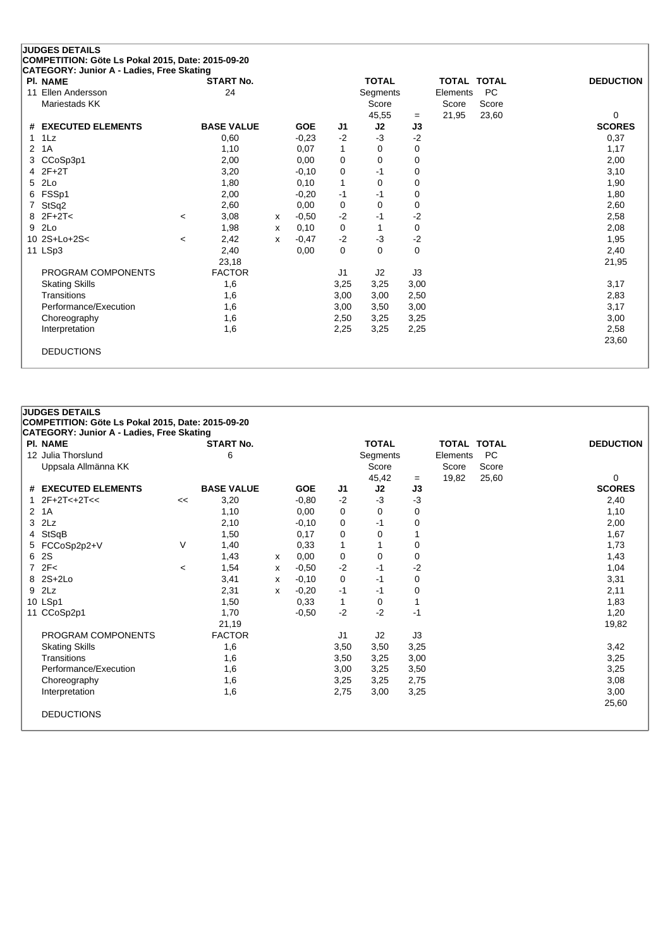|                | <b>JUDGES DETAILS</b>                                                                          |         |                   |   |            |             |              |          |                    |           |                  |
|----------------|------------------------------------------------------------------------------------------------|---------|-------------------|---|------------|-------------|--------------|----------|--------------------|-----------|------------------|
|                | COMPETITION: Göte Ls Pokal 2015, Date: 2015-09-20<br>CATEGORY: Junior A - Ladies, Free Skating |         |                   |   |            |             |              |          |                    |           |                  |
|                | <b>PI. NAME</b>                                                                                |         | <b>START No.</b>  |   |            |             | <b>TOTAL</b> |          | <b>TOTAL TOTAL</b> |           | <b>DEDUCTION</b> |
|                | 11 Ellen Andersson                                                                             |         | 24                |   |            |             | Segments     |          | Elements           | <b>PC</b> |                  |
|                | Mariestads KK                                                                                  |         |                   |   |            |             | Score        |          | Score              | Score     |                  |
|                |                                                                                                |         |                   |   |            |             | 45,55        | $=$      | 21,95              | 23,60     | 0                |
|                | # EXECUTED ELEMENTS                                                                            |         | <b>BASE VALUE</b> |   | <b>GOE</b> | J1          | J2           | J3       |                    |           | <b>SCORES</b>    |
| 1.             | $1\text{L}z$                                                                                   |         | 0,60              |   | $-0,23$    | $-2$        | $-3$         | $-2$     |                    |           | 0,37             |
| $\overline{2}$ | 1A                                                                                             |         | 1,10              |   | 0.07       | 1           | 0            | 0        |                    |           | 1,17             |
| 3              | CCoSp3p1                                                                                       |         | 2,00              |   | 0,00       | 0           | 0            | 0        |                    |           | 2,00             |
| 4              | $2F+2T$                                                                                        |         | 3,20              |   | $-0,10$    | 0           | $-1$         | 0        |                    |           | 3,10             |
| 5.             | 2Lo                                                                                            |         | 1,80              |   | 0,10       | 1           | 0            | 0        |                    |           | 1,90             |
| 6              | FSSp1                                                                                          |         | 2,00              |   | $-0,20$    | $-1$        | -1           | 0        |                    |           | 1,80             |
|                | StSq2                                                                                          |         | 2,60              |   | 0,00       | 0           | 0            | 0        |                    |           | 2,60             |
| 8              | $2F+2T<$                                                                                       | $\prec$ | 3,08              | x | $-0,50$    | $-2$        | $-1$         | $-2$     |                    |           | 2,58             |
| 9              | 2Lo                                                                                            |         | 1,98              | x | 0,10       | 0           |              | 0        |                    |           | 2,08             |
|                | 10 2S+Lo+2S<                                                                                   | $\,<$   | 2,42              | x | $-0,47$    | $-2$        | $-3$         | $-2$     |                    |           | 1,95             |
|                | 11 LSp3                                                                                        |         | 2,40              |   | 0,00       | $\mathbf 0$ | $\Omega$     | $\Omega$ |                    |           | 2,40             |
|                |                                                                                                |         | 23,18             |   |            |             |              |          |                    |           | 21,95            |
|                | PROGRAM COMPONENTS                                                                             |         | <b>FACTOR</b>     |   |            | J1          | J2           | J3       |                    |           |                  |
|                | <b>Skating Skills</b>                                                                          |         | 1,6               |   |            | 3,25        | 3,25         | 3,00     |                    |           | 3,17             |
|                | Transitions                                                                                    |         | 1,6               |   |            | 3,00        | 3,00         | 2,50     |                    |           | 2,83             |
|                | Performance/Execution                                                                          |         | 1,6               |   |            | 3,00        | 3,50         | 3,00     |                    |           | 3,17             |
|                | Choreography                                                                                   |         | 1,6               |   |            | 2,50        | 3,25         | 3,25     |                    |           | 3,00             |
|                | Interpretation                                                                                 |         | 1,6               |   |            | 2,25        | 3,25         | 2,25     |                    |           | 2,58             |
|                |                                                                                                |         |                   |   |            |             |              |          |                    |           | 23,60            |
|                | <b>DEDUCTIONS</b>                                                                              |         |                   |   |            |             |              |          |                    |           |                  |
|                |                                                                                                |         |                   |   |            |             |              |          |                    |           |                  |

### **JUDGES DETAILS COMPETITION: Göte Ls Pokal 2015, Date: 2015-09-20 CATEGORY: Junior A - Ladies, Free Skating Pl. NAME START No. TOTAL TOTAL TOTAL DEDUCTION** 12 Julia Thorslund **12 Julia Thorslund 6** Segments Elements PC Uppsala Allmänna KK<br>
Uppsala Allmänna KK<br>
25.60

25.60

25.60

25.60

25.60

25.60

25.60

25.60

25.60

25.60

25.60

25.60

25.60

25.60

25.60

25.60

25.60

25.60

25.60

25.60

25.60

25.60

25.60

25.60

25.60

25.60  $-$  19,82 25,60 0<br>J3 SCORES **# EXECUTED ELEMENTS BASE VALUE GOE J1 J2 J3 SCORES** 1  $2F+2T<+2T<$   $<<$  3,20  $-0.80$   $-2$   $-3$   $-3$ 2 1A 1,10 0,00 0 0 0 1,10  $3$  2Lz  $2,10$   $-0,10$   $0$   $-1$   $0$   $-1$   $0$   $2,00$ 4 StSqB 1,50 0,17 0 0 1 1,67 5 FCCoSp2p2+V V 1,40 0,33 1 1 0 1,73 6 2S 1,43 <sup>x</sup> 0,00 0 0 0 1,43 7 2F< <sup>&</sup>lt; 1,54 <sup>x</sup> -0,50 -2 -1 -2 1,04 8 2S+2Lo 3,41 <sup>x</sup> -0,10 0 -1 0 3,31 9 2Lz 2,31 <sup>x</sup> -0,20 -1 -1 0 2,11 10 LSp1 1,50 0,33 1 0 1 1,83 11 CCoSp2p1 1,70 -0,50 -2 -2 -1 1,20 21,19 19,82 PROGRAM COMPONENTS FACTOR J1 J2 J3 Skating Skills 1,6 3,50 3,50 3,25 3,42 Transitions 1,6 3,50 3,25 3,00 3,25 Performance/Execution 1,6 3,00 3,25 3,50 3,25 3,50 3,25 3,50 3,25 3,25 3,60 3,25 3,25 3,25 3,00 3,25 3,08 3,25 Choreography 1,6 3,25 3,25 2,75 3,08 Interpretation 1,6 2,75 3,00 3,25 3,00 25,60 DEDUCTIONS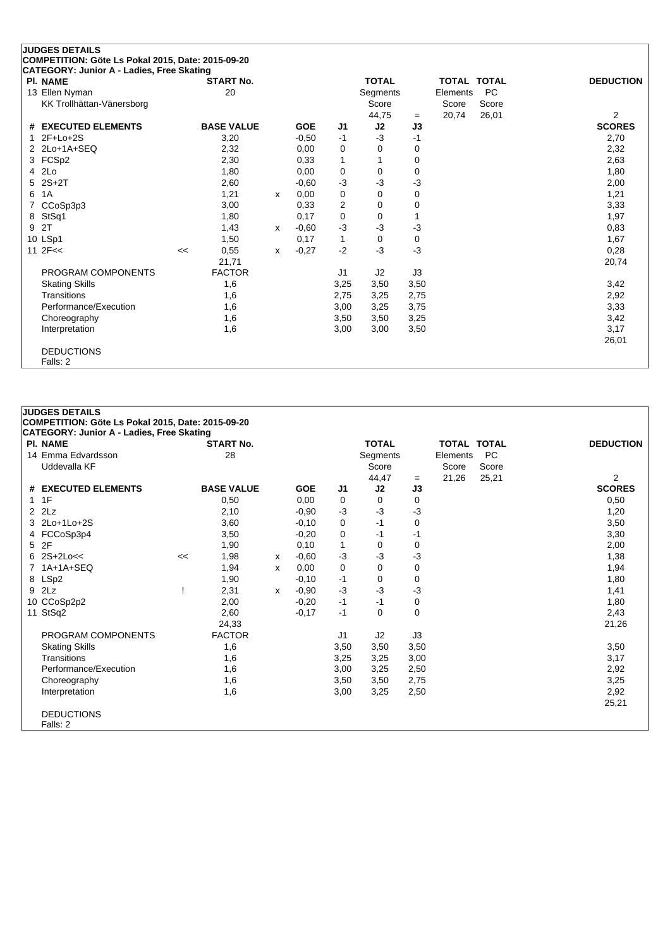|   | <b>JUDGES DETAILS</b>                             |    |                   |   |            |                |              |           |                    |           |                                 |
|---|---------------------------------------------------|----|-------------------|---|------------|----------------|--------------|-----------|--------------------|-----------|---------------------------------|
|   | COMPETITION: Göte Ls Pokal 2015, Date: 2015-09-20 |    |                   |   |            |                |              |           |                    |           |                                 |
|   | CATEGORY: Junior A - Ladies, Free Skating         |    |                   |   |            |                |              |           |                    |           |                                 |
|   | <b>PI. NAME</b>                                   |    | <b>START No.</b>  |   |            |                | <b>TOTAL</b> |           | <b>TOTAL TOTAL</b> |           | <b>DEDUCTION</b>                |
|   | 13 Ellen Nyman                                    |    | 20                |   |            |                | Segments     |           | Elements           | <b>PC</b> |                                 |
|   | KK Trollhättan-Vänersborg                         |    |                   |   |            |                | Score        |           | Score              | Score     |                                 |
|   | # EXECUTED ELEMENTS                               |    | <b>BASE VALUE</b> |   | <b>GOE</b> | J1             | 44,75<br>J2  | $=$<br>J3 | 20,74              | 26,01     | $\overline{2}$<br><b>SCORES</b> |
|   | $2F+Lo+2S$                                        |    | 3,20              |   | $-0,50$    | $-1$           | $-3$         | -1        |                    |           | 2,70                            |
|   | 2 2Lo+1A+SEQ                                      |    | 2,32              |   | 0,00       | 0              | 0            | 0         |                    |           | 2,32                            |
|   | 3 FCSp2                                           |    | 2,30              |   | 0,33       | $\mathbf{1}$   |              | 0         |                    |           | 2,63                            |
| 4 | 2Lo                                               |    | 1,80              |   | 0,00       | 0              | 0            | 0         |                    |           | 1,80                            |
|   | $5$ 2S+2T                                         |    | 2,60              |   | $-0.60$    | $-3$           | -3           | $-3$      |                    |           | 2,00                            |
| 6 | 1A                                                |    | 1,21              | x | 0,00       | 0              | $\Omega$     | 0         |                    |           | 1,21                            |
|   | CCoSp3p3                                          |    | 3,00              |   | 0,33       | $\overline{2}$ | 0            | 0         |                    |           | 3,33                            |
|   | 8 StSq1                                           |    | 1,80              |   | 0,17       | 0              | 0            |           |                    |           | 1,97                            |
| 9 | 2T                                                |    | 1,43              | x | $-0.60$    | $-3$           | $-3$         | $-3$      |                    |           | 0,83                            |
|   | 10 LSp1                                           |    | 1,50              |   | 0,17       | $\mathbf{1}$   | 0            | 0         |                    |           | 1,67                            |
|   | 11 $2F<<$                                         | << | 0,55              | x | $-0,27$    | $-2$           | $-3$         | $-3$      |                    |           | 0,28                            |
|   |                                                   |    | 21,71             |   |            |                |              |           |                    |           | 20,74                           |
|   | PROGRAM COMPONENTS                                |    | <b>FACTOR</b>     |   |            | J <sub>1</sub> | J2           | J3        |                    |           |                                 |
|   | <b>Skating Skills</b>                             |    | 1,6               |   |            | 3,25           | 3,50         | 3,50      |                    |           | 3,42                            |
|   | Transitions                                       |    | 1,6               |   |            | 2,75           | 3,25         | 2,75      |                    |           | 2,92                            |
|   | Performance/Execution                             |    | 1,6               |   |            | 3,00           | 3,25         | 3,75      |                    |           | 3,33                            |
|   | Choreography                                      |    | 1,6               |   |            | 3,50           | 3,50         | 3,25      |                    |           | 3,42                            |
|   | Interpretation                                    |    | 1,6               |   |            | 3,00           | 3,00         | 3,50      |                    |           | 3,17                            |
|   |                                                   |    |                   |   |            |                |              |           |                    |           | 26,01                           |
|   | <b>DEDUCTIONS</b>                                 |    |                   |   |            |                |              |           |                    |           |                                 |
|   | Falls: 2                                          |    |                   |   |            |                |              |           |                    |           |                                 |

| <b>JUDGES DETAILS</b>                             |    |                   |   |            |                |              |      |                    |           |                  |
|---------------------------------------------------|----|-------------------|---|------------|----------------|--------------|------|--------------------|-----------|------------------|
| COMPETITION: Göte Ls Pokal 2015, Date: 2015-09-20 |    |                   |   |            |                |              |      |                    |           |                  |
| <b>CATEGORY: Junior A - Ladies, Free Skating</b>  |    |                   |   |            |                |              |      |                    |           |                  |
| <b>PI. NAME</b>                                   |    | <b>START No.</b>  |   |            |                | <b>TOTAL</b> |      | <b>TOTAL TOTAL</b> |           | <b>DEDUCTION</b> |
| 14 Emma Edvardsson                                |    | 28                |   |            |                | Segments     |      | Elements           | <b>PC</b> |                  |
| Uddevalla KF                                      |    |                   |   |            |                | Score        |      | Score              | Score     |                  |
|                                                   |    |                   |   |            |                | 44,47        | $=$  | 21,26              | 25,21     | $\overline{2}$   |
| # EXECUTED ELEMENTS                               |    | <b>BASE VALUE</b> |   | <b>GOE</b> | J <sub>1</sub> | J2           | J3   |                    |           | <b>SCORES</b>    |
| $1 \t1F$                                          |    | 0,50              |   | 0,00       | 0              | $\Omega$     | 0    |                    |           | 0,50             |
| $2$ $2$ Lz                                        |    | 2,10              |   | $-0.90$    | $-3$           | $-3$         | -3   |                    |           | 1,20             |
| 3 2Lo+1Lo+2S                                      |    | 3,60              |   | $-0,10$    | 0              | $-1$         | 0    |                    |           | 3,50             |
| 4 FCCoSp3p4                                       |    | 3,50              |   | $-0,20$    | 0              | -1           | -1   |                    |           | 3,30             |
| 5 2F                                              |    | 1,90              |   | 0,10       | 1              | 0            | 0    |                    |           | 2,00             |
| $6$ 2S+2Lo<<                                      | << | 1,98              | x | $-0.60$    | $-3$           | $-3$         | -3   |                    |           | 1,38             |
| 1A+1A+SEQ                                         |    | 1,94              | X | 0,00       | 0              | 0            | 0    |                    |           | 1,94             |
| 8 LSp2                                            |    | 1,90              |   | $-0,10$    | -1             | 0            | 0    |                    |           | 1,80             |
| 9 2Lz                                             |    | 2,31              | x | $-0.90$    | $-3$           | $-3$         | -3   |                    |           | 1,41             |
| 10 CCoSp2p2                                       |    | 2,00              |   | $-0,20$    | $-1$           | -1           | 0    |                    |           | 1,80             |
| 11 StSq2                                          |    | 2,60              |   | $-0,17$    | $-1$           | $\Omega$     | 0    |                    |           | 2,43             |
|                                                   |    | 24,33             |   |            |                |              |      |                    |           | 21,26            |
| PROGRAM COMPONENTS                                |    | <b>FACTOR</b>     |   |            | J <sub>1</sub> | J2           | J3   |                    |           |                  |
| <b>Skating Skills</b>                             |    | 1,6               |   |            | 3,50           | 3,50         | 3,50 |                    |           | 3,50             |
| Transitions                                       |    | 1,6               |   |            | 3,25           | 3,25         | 3,00 |                    |           | 3,17             |
| Performance/Execution                             |    | 1,6               |   |            | 3,00           | 3,25         | 2,50 |                    |           | 2,92             |
| Choreography                                      |    | 1,6               |   |            | 3,50           | 3,50         | 2,75 |                    |           | 3,25             |
| Interpretation                                    |    | 1,6               |   |            | 3,00           | 3,25         | 2,50 |                    |           | 2,92             |
|                                                   |    |                   |   |            |                |              |      |                    |           | 25,21            |
| <b>DEDUCTIONS</b>                                 |    |                   |   |            |                |              |      |                    |           |                  |
| Falls: 2                                          |    |                   |   |            |                |              |      |                    |           |                  |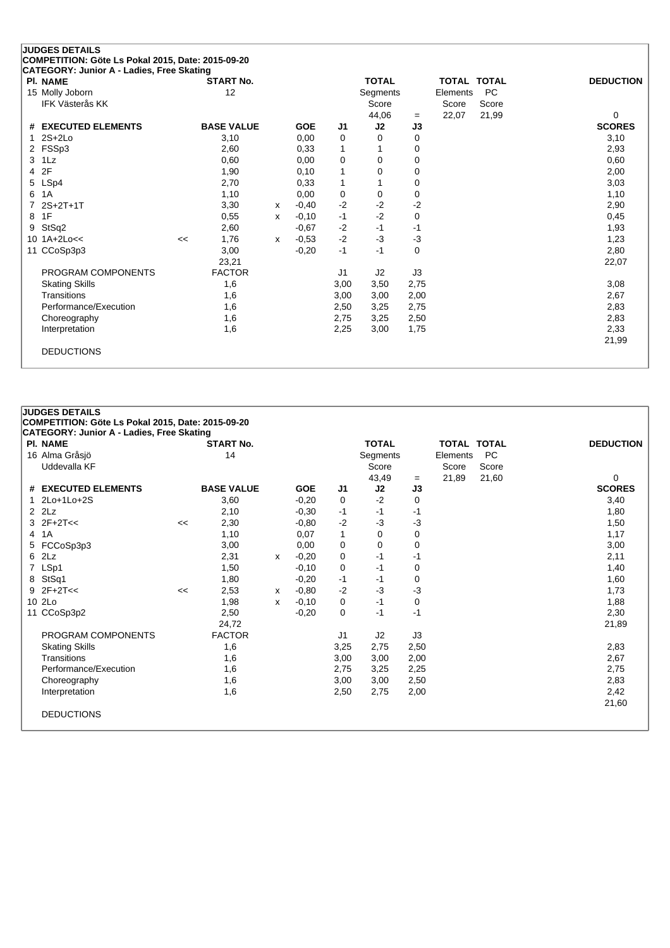|   | <b>JUDGES DETAILS</b>                                                                          |    |                   |   |            |                |              |      |                    |           |                  |
|---|------------------------------------------------------------------------------------------------|----|-------------------|---|------------|----------------|--------------|------|--------------------|-----------|------------------|
|   | COMPETITION: Göte Ls Pokal 2015, Date: 2015-09-20<br>CATEGORY: Junior A - Ladies, Free Skating |    |                   |   |            |                |              |      |                    |           |                  |
|   | <b>PI. NAME</b>                                                                                |    | <b>START No.</b>  |   |            |                | <b>TOTAL</b> |      | <b>TOTAL TOTAL</b> |           | <b>DEDUCTION</b> |
|   | 15 Molly Joborn                                                                                |    | 12                |   |            |                | Segments     |      | Elements           | <b>PC</b> |                  |
|   | <b>IFK Västerås KK</b>                                                                         |    |                   |   |            |                | Score        |      | Score              | Score     |                  |
|   |                                                                                                |    |                   |   |            |                | 44,06        | $=$  | 22,07              | 21,99     | 0                |
|   | # EXECUTED ELEMENTS                                                                            |    | <b>BASE VALUE</b> |   | <b>GOE</b> | J1             | J2           | J3   |                    |           | <b>SCORES</b>    |
|   | $2S+2Lo$                                                                                       |    | 3,10              |   | 0,00       | 0              | 0            | 0    |                    |           | 3,10             |
| 2 | FSSp3                                                                                          |    | 2,60              |   | 0,33       | 1              |              | 0    |                    |           | 2,93             |
| 3 | 1Lz                                                                                            |    | 0,60              |   | 0,00       | 0              | 0            | 0    |                    |           | 0,60             |
| 4 | 2F                                                                                             |    | 1,90              |   | 0,10       | 1              | 0            | 0    |                    |           | 2,00             |
| 5 | LSp4                                                                                           |    | 2,70              |   | 0,33       | 1              |              | 0    |                    |           | 3,03             |
| 6 | 1A                                                                                             |    | 1,10              |   | 0,00       | 0              | 0            | 0    |                    |           | 1,10             |
|   | $2S+2T+1T$                                                                                     |    | 3,30              | x | $-0.40$    | $-2$           | $-2$         | -2   |                    |           | 2,90             |
| 8 | 1F                                                                                             |    | 0,55              | x | $-0,10$    | $-1$           | $-2$         | 0    |                    |           | 0,45             |
| 9 | StSq2                                                                                          |    | 2,60              |   | $-0.67$    | $-2$           | $-1$         | $-1$ |                    |           | 1,93             |
|   | 10 1A+2Lo<<                                                                                    | << | 1,76              | x | $-0.53$    | $-2$           | $-3$         | $-3$ |                    |           | 1,23             |
|   | 11 CCoSp3p3                                                                                    |    | 3,00              |   | $-0,20$    | $-1$           | $-1$         | 0    |                    |           | 2,80             |
|   |                                                                                                |    | 23,21             |   |            |                |              |      |                    |           | 22,07            |
|   | PROGRAM COMPONENTS                                                                             |    | <b>FACTOR</b>     |   |            | J <sub>1</sub> | J2           | J3   |                    |           |                  |
|   | <b>Skating Skills</b>                                                                          |    | 1,6               |   |            | 3,00           | 3,50         | 2,75 |                    |           | 3,08             |
|   | Transitions                                                                                    |    | 1,6               |   |            | 3,00           | 3,00         | 2,00 |                    |           | 2,67             |
|   | Performance/Execution                                                                          |    | 1,6               |   |            | 2,50           | 3,25         | 2,75 |                    |           | 2,83             |
|   | Choreography                                                                                   |    | 1,6               |   |            | 2,75           | 3,25         | 2,50 |                    |           | 2,83             |
|   | Interpretation                                                                                 |    | 1,6               |   |            | 2,25           | 3,00         | 1,75 |                    |           | 2,33             |
|   |                                                                                                |    |                   |   |            |                |              |      |                    |           | 21,99            |
|   | <b>DEDUCTIONS</b>                                                                              |    |                   |   |            |                |              |      |                    |           |                  |
|   |                                                                                                |    |                   |   |            |                |              |      |                    |           |                  |

#### **JUDGES DETAILS**

**COMPETITION: Göte Ls Pokal 2015, Date: 2015-09-20**

| PI. NAME              |    | <b>START No.</b>  |   |            |                | <b>TOTAL</b> |      | TOTAL TOTAL |           | <b>DEDUCTION</b> |
|-----------------------|----|-------------------|---|------------|----------------|--------------|------|-------------|-----------|------------------|
| 16 Alma Gråsjö        |    | 14                |   |            |                | Segments     |      | Elements    | <b>PC</b> |                  |
| Uddevalla KF          |    |                   |   |            |                | Score        |      | Score       | Score     |                  |
|                       |    |                   |   |            |                | 43,49        | $=$  | 21,89       | 21,60     | 0                |
| # EXECUTED ELEMENTS   |    | <b>BASE VALUE</b> |   | <b>GOE</b> | J <sub>1</sub> | J2           | J3   |             |           | <b>SCORES</b>    |
| 1 2Lo+1Lo+2S          |    | 3,60              |   | $-0,20$    | 0              | $-2$         | 0    |             |           | 3,40             |
| $2$ $2$ Lz            |    | 2,10              |   | $-0,30$    | -1             | -1           | -1   |             |           | 1,80             |
| $3$ $2F+2T<<$         | << | 2,30              |   | $-0.80$    | $-2$           | $-3$         | -3   |             |           | 1,50             |
| 4 1A                  |    | 1,10              |   | 0,07       | 1              | 0            | 0    |             |           | 1,17             |
| 5 FCCoSp3p3           |    | 3,00              |   | 0,00       | 0              | 0            | 0    |             |           | 3,00             |
| 6 2Lz                 |    | 2,31              | х | $-0,20$    | 0              | $-1$         | $-1$ |             |           | 2,11             |
| 7 LSp1                |    | 1,50              |   | $-0,10$    | 0              | -1           | 0    |             |           | 1,40             |
| 8 StSq1               |    | 1,80              |   | $-0,20$    | -1             | -1           | 0    |             |           | 1,60             |
| $9$ 2F+2T<<           | << | 2,53              | х | $-0,80$    | $-2$           | $-3$         | -3   |             |           | 1,73             |
| 10 2Lo                |    | 1,98              | x | $-0,10$    | 0              | $-1$         | 0    |             |           | 1,88             |
| 11 CCoSp3p2           |    | 2,50              |   | $-0,20$    | 0              | $-1$         | $-1$ |             |           | 2,30             |
|                       |    | 24,72             |   |            |                |              |      |             |           | 21,89            |
| PROGRAM COMPONENTS    |    | <b>FACTOR</b>     |   |            | J1             | J2           | J3   |             |           |                  |
| <b>Skating Skills</b> |    | 1,6               |   |            | 3,25           | 2,75         | 2,50 |             |           | 2,83             |
| Transitions           |    | 1,6               |   |            | 3,00           | 3,00         | 2,00 |             |           | 2,67             |
| Performance/Execution |    | 1,6               |   |            | 2,75           | 3,25         | 2,25 |             |           | 2,75             |
| Choreography          |    | 1,6               |   |            | 3,00           | 3,00         | 2,50 |             |           | 2,83             |
| Interpretation        |    | 1,6               |   |            | 2,50           | 2,75         | 2,00 |             |           | 2,42             |
|                       |    |                   |   |            |                |              |      |             |           | 21,60            |
| <b>DEDUCTIONS</b>     |    |                   |   |            |                |              |      |             |           |                  |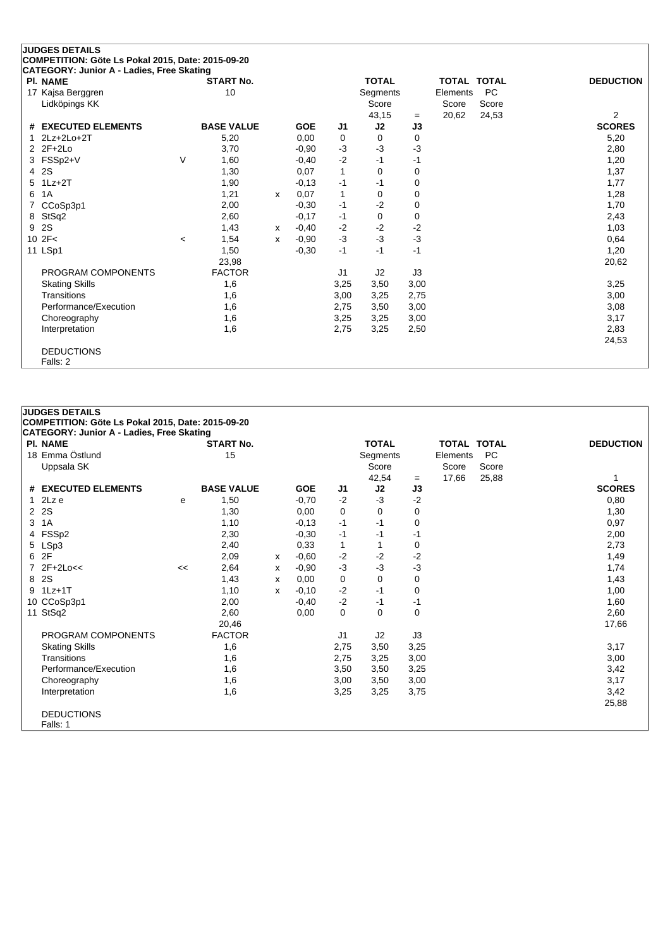|   | <b>JUDGES DETAILS</b>                                        |                          |                   |   |            |                |                |      |                    |           |                  |
|---|--------------------------------------------------------------|--------------------------|-------------------|---|------------|----------------|----------------|------|--------------------|-----------|------------------|
|   | COMPETITION: Göte Ls Pokal 2015, Date: 2015-09-20            |                          |                   |   |            |                |                |      |                    |           |                  |
|   | CATEGORY: Junior A - Ladies, Free Skating<br><b>PI. NAME</b> |                          | <b>START No.</b>  |   |            |                | <b>TOTAL</b>   |      | <b>TOTAL TOTAL</b> |           | <b>DEDUCTION</b> |
|   | 17 Kajsa Berggren                                            |                          | 10                |   |            |                | Segments       |      | Elements           | <b>PC</b> |                  |
|   | Lidköpings KK                                                |                          |                   |   |            |                | Score          |      | Score              | Score     |                  |
|   |                                                              |                          |                   |   |            |                | 43,15          | $=$  | 20,62              | 24,53     | $\overline{2}$   |
| # | <b>EXECUTED ELEMENTS</b>                                     |                          | <b>BASE VALUE</b> |   | <b>GOE</b> | J <sub>1</sub> | J2             | J3   |                    |           | <b>SCORES</b>    |
|   | $2Lz+2Lo+2T$                                                 |                          | 5,20              |   | 0,00       | 0              | 0              | 0    |                    |           | 5,20             |
|   | $22F+2Lo$                                                    |                          | 3,70              |   | $-0.90$    | $-3$           | $-3$           | $-3$ |                    |           | 2,80             |
|   | 3 FSSp2+V                                                    | $\vee$                   | 1,60              |   | $-0,40$    | $-2$           | $-1$           | $-1$ |                    |           | 1,20             |
| 4 | 2S                                                           |                          | 1,30              |   | 0,07       | $\mathbf{1}$   | 0              | 0    |                    |           | 1,37             |
|   | $5$ 1Lz+2T                                                   |                          | 1,90              |   | $-0,13$    | $-1$           | $-1$           | 0    |                    |           | 1,77             |
| 6 | 1A                                                           |                          | 1,21              | X | 0,07       | $\mathbf{1}$   | 0              | 0    |                    |           | 1,28             |
|   | CCoSp3p1                                                     |                          | 2,00              |   | $-0,30$    | $-1$           | $-2$           | 0    |                    |           | 1,70             |
| 8 | StSq2                                                        |                          | 2,60              |   | $-0,17$    | $-1$           | 0              | 0    |                    |           | 2,43             |
| 9 | 2S                                                           |                          | 1,43              | X | $-0,40$    | $-2$           | $-2$           | $-2$ |                    |           | 1,03             |
|   | 10 2F<                                                       | $\overline{\phantom{a}}$ | 1,54              | x | $-0.90$    | $-3$           | $-3$           | $-3$ |                    |           | 0,64             |
|   | 11 LSp1                                                      |                          | 1,50              |   | $-0,30$    | $-1$           | $-1$           | $-1$ |                    |           | 1,20             |
|   |                                                              |                          | 23,98             |   |            |                |                |      |                    |           | 20,62            |
|   | PROGRAM COMPONENTS                                           |                          | <b>FACTOR</b>     |   |            | J <sub>1</sub> | J <sub>2</sub> | J3   |                    |           |                  |
|   | <b>Skating Skills</b>                                        |                          | 1,6               |   |            | 3,25           | 3,50           | 3,00 |                    |           | 3,25             |
|   | Transitions                                                  |                          | 1,6               |   |            | 3,00           | 3,25           | 2,75 |                    |           | 3,00             |
|   | Performance/Execution                                        |                          | 1,6               |   |            | 2,75           | 3,50           | 3,00 |                    |           | 3,08             |
|   | Choreography                                                 |                          | 1,6               |   |            | 3,25           | 3,25           | 3,00 |                    |           | 3,17             |
|   | Interpretation                                               |                          | 1,6               |   |            | 2,75           | 3,25           | 2,50 |                    |           | 2,83             |
|   |                                                              |                          |                   |   |            |                |                |      |                    |           | 24,53            |
|   | <b>DEDUCTIONS</b>                                            |                          |                   |   |            |                |                |      |                    |           |                  |
|   | Falls: 2                                                     |                          |                   |   |            |                |                |      |                    |           |                  |

#### **JUDGES DETAILS COMPETITION: Göte Ls Pokal 2015, Date: 2015-09-20 CATEGORY: Junior A - Ladies, Free Skating Pl. NAME START No. TOTAL TOTAL TOTAL DEDUCTION** 18 Emma Östlund 15 Segments Elements PC Uppsala SK Score Score Score Score Score Score Score Score Score Score Score Score Score Score Score Score Score Score Score Score Score Score Score Score Score Score Score Score Score Score Score Score Score Score Score S  $-$  17,66 25,88 1<br>**J3** SCORES **# EXECUTED ELEMENTS BASE VALUE GOE J1 J2 J3 SCORES** 1 2Lz e <sup>e</sup> 1,50 -0,70 -2 -3 -2 0,80 2 2S 1,30 0,00 0 0 0 1,30  $3 \t1A$  0 0,97 4 FSSp2 2,30 -0,30 -1 -1 -1 2,00 5 LSp3 2,40 0,33 1 1 0 2,73 6 2F 2,09 <sup>x</sup> -0,60 -2 -2 -2 1,49 7 2F+2Lo<< << 2,64 <sup>x</sup> -0,90 -3 -3 -3 1,74 8 2S 1,43 <sup>x</sup> 0,00 0 0 0 1,43 9 1Lz+1T 1,10 <sup>x</sup> -0,10 -2 -1 0 1,00 10 CCoSp3p1 2,00 -0,40 -2 -1 -1 1 -1 1,60 11 StSq2 2,60 0,00 0 0 0 2,60 20,46 17,66 PROGRAM COMPONENTS FACTOR J1 J2 J3 Skating Skills 1,6 2,75 3,50 3,25 3,17 Transitions 1,6 2,75 3,25 3,00 3,00 Performance/Execution 1,6 3,50 3,50 3,25 3,42 Choreography 1,6 3,00 3,50 3,00 3,00 3,00 3,17 Interpretation 1,6 3,25 3,25 3,75 3,42 25,88 DEDUCTIONS Falls: 1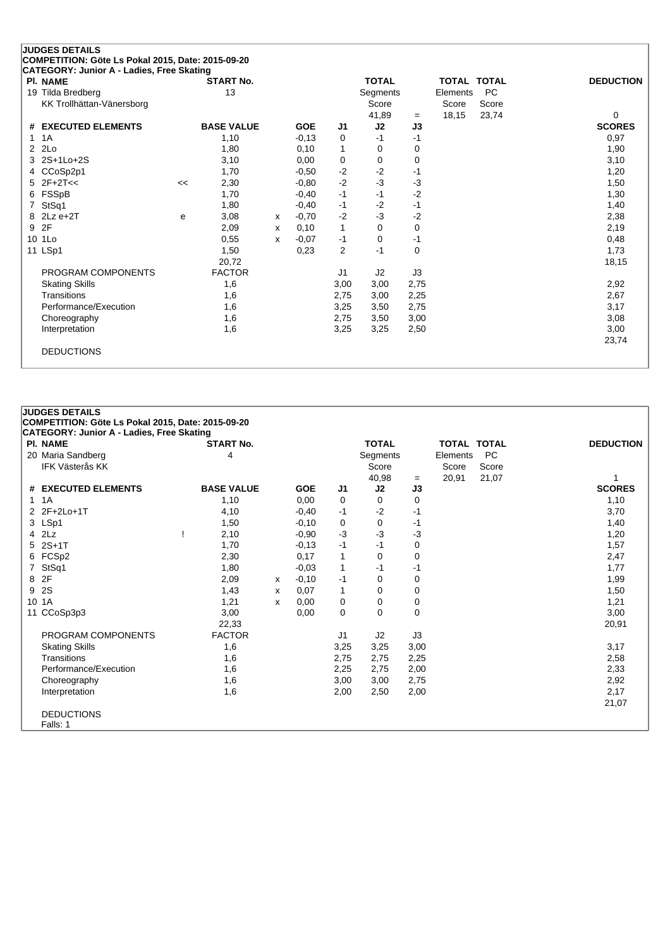| <b>JUDGES DETAILS</b><br>COMPETITION: Göte Ls Pokal 2015, Date: 2015-09-20 |    |                   |   |            |              |              |             |          |                    |                  |
|----------------------------------------------------------------------------|----|-------------------|---|------------|--------------|--------------|-------------|----------|--------------------|------------------|
| CATEGORY: Junior A - Ladies, Free Skating                                  |    |                   |   |            |              |              |             |          |                    |                  |
| <b>PI. NAME</b>                                                            |    | <b>START No.</b>  |   |            |              | <b>TOTAL</b> |             |          | <b>TOTAL TOTAL</b> | <b>DEDUCTION</b> |
| 19 Tilda Bredberg                                                          |    | 13                |   |            |              | Segments     |             | Elements | <b>PC</b>          |                  |
| KK Trollhättan-Vänersborg                                                  |    |                   |   |            |              | Score        |             | Score    | Score              |                  |
|                                                                            |    |                   |   |            |              | 41,89        | $=$         | 18,15    | 23,74              | 0                |
| # EXECUTED ELEMENTS                                                        |    | <b>BASE VALUE</b> |   | <b>GOE</b> | J1           | J2           | J3          |          |                    | <b>SCORES</b>    |
| 1A                                                                         |    | 1,10              |   | $-0,13$    | 0            | $-1$         | $-1$        |          |                    | 0,97             |
| 2Lo<br>$\overline{2}$                                                      |    | 1,80              |   | 0,10       | 1            | 0            | 0           |          |                    | 1,90             |
| 2S+1Lo+2S                                                                  |    | 3,10              |   | 0,00       | $\mathbf 0$  | $\Omega$     | 0           |          |                    | 3,10             |
| CCoSp2p1<br>4                                                              |    | 1,70              |   | $-0.50$    | $-2$         | $-2$         | $-1$        |          |                    | 1,20             |
| $2F+2T<<$<br>5                                                             | << | 2,30              |   | $-0.80$    | $-2$         | $-3$         | -3          |          |                    | 1,50             |
| FSSpB<br>6                                                                 |    | 1,70              |   | $-0,40$    | $-1$         | $-1$         | $-2$        |          |                    | 1,30             |
| StSq1<br>7                                                                 |    | 1,80              |   | $-0,40$    | $-1$         | $-2$         | $-1$        |          |                    | 1,40             |
| $2Lz e+2T$<br>8                                                            | e  | 3,08              | x | $-0,70$    | $-2$         | $-3$         | $-2$        |          |                    | 2,38             |
| 2F<br>9                                                                    |    | 2,09              | x | 0,10       | $\mathbf{1}$ | $\Omega$     | 0           |          |                    | 2,19             |
| 10 1Lo                                                                     |    | 0,55              | x | $-0,07$    | $-1$         | 0            | $-1$        |          |                    | 0,48             |
| 11 LSp1                                                                    |    | 1,50              |   | 0,23       | 2            | $-1$         | $\mathbf 0$ |          |                    | 1,73             |
|                                                                            |    | 20,72             |   |            |              |              |             |          |                    | 18,15            |
| PROGRAM COMPONENTS                                                         |    | <b>FACTOR</b>     |   |            | J1           | J2           | J3          |          |                    |                  |
| <b>Skating Skills</b>                                                      |    | 1,6               |   |            | 3,00         | 3,00         | 2,75        |          |                    | 2,92             |
| Transitions                                                                |    | 1,6               |   |            | 2,75         | 3,00         | 2,25        |          |                    | 2,67             |
| Performance/Execution                                                      |    | 1,6               |   |            | 3,25         | 3,50         | 2,75        |          |                    | 3,17             |
| Choreography                                                               |    | 1,6               |   |            | 2,75         | 3,50         | 3,00        |          |                    | 3,08             |
| Interpretation                                                             |    | 1,6               |   |            | 3,25         | 3,25         | 2,50        |          |                    | 3,00             |
|                                                                            |    |                   |   |            |              |              |             |          |                    | 23,74            |
| <b>DEDUCTIONS</b>                                                          |    |                   |   |            |              |              |             |          |                    |                  |
|                                                                            |    |                   |   |            |              |              |             |          |                    |                  |

|   | <b>JUDGES DETAILS</b>                             |                   |   |            |                |              |      |                    |           |                  |  |
|---|---------------------------------------------------|-------------------|---|------------|----------------|--------------|------|--------------------|-----------|------------------|--|
|   | COMPETITION: Göte Ls Pokal 2015, Date: 2015-09-20 |                   |   |            |                |              |      |                    |           |                  |  |
|   | <b>CATEGORY: Junior A - Ladies, Free Skating</b>  |                   |   |            |                |              |      |                    |           |                  |  |
|   | <b>PI. NAME</b>                                   | <b>START No.</b>  |   |            |                | <b>TOTAL</b> |      | <b>TOTAL TOTAL</b> |           | <b>DEDUCTION</b> |  |
|   | 20 Maria Sandberg                                 | 4                 |   |            |                | Segments     |      | Elements           | <b>PC</b> |                  |  |
|   | <b>IFK Västerås KK</b>                            |                   |   |            |                | Score        |      | Score              | Score     |                  |  |
|   |                                                   |                   |   |            |                | 40,98        | $=$  | 20,91              | 21,07     |                  |  |
|   | # EXECUTED ELEMENTS                               | <b>BASE VALUE</b> |   | <b>GOE</b> | J1             | J2           | J3   |                    |           | <b>SCORES</b>    |  |
|   | $1 \t1A$                                          | 1,10              |   | 0,00       | 0              | $\Omega$     | 0    |                    |           | 1,10             |  |
|   | 2 2F+2Lo+1T                                       | 4,10              |   | $-0,40$    | -1             | $-2$         | -1   |                    |           | 3,70             |  |
|   | 3 LSp1                                            | 1,50              |   | $-0,10$    | 0              | 0            | -1   |                    |           | 1,40             |  |
|   | 4 2Lz                                             | 2,10              |   | $-0.90$    | $-3$           | $-3$         | -3   |                    |           | 1,20             |  |
|   | 5 2S+1T                                           | 1,70              |   | $-0,13$    | $-1$           | $-1$         | 0    |                    |           | 1,57             |  |
|   | 6 FCSp2                                           | 2,30              |   | 0,17       | 1              | 0            | 0    |                    |           | 2,47             |  |
|   | StSq1                                             | 1,80              |   | $-0.03$    | 1              | -1           | -1   |                    |           | 1,77             |  |
|   | 8 2F                                              | 2,09              | X | $-0,10$    | -1             | 0            | 0    |                    |           | 1,99             |  |
| 9 | <b>2S</b>                                         | 1,43              | X | 0,07       | 1              | 0            | 0    |                    |           | 1,50             |  |
|   | 10 1A                                             | 1,21              | X | 0,00       | 0              | 0            | 0    |                    |           | 1,21             |  |
|   | 11 CCoSp3p3                                       | 3,00              |   | 0,00       | 0              | 0            | 0    |                    |           | 3,00             |  |
|   |                                                   | 22,33             |   |            |                |              |      |                    |           | 20,91            |  |
|   | PROGRAM COMPONENTS                                | <b>FACTOR</b>     |   |            | J <sub>1</sub> | J2           | J3   |                    |           |                  |  |
|   | <b>Skating Skills</b>                             | 1,6               |   |            | 3,25           | 3,25         | 3,00 |                    |           | 3,17             |  |
|   | Transitions                                       | 1,6               |   |            | 2,75           | 2,75         | 2,25 |                    |           | 2,58             |  |
|   | Performance/Execution                             | 1,6               |   |            | 2,25           | 2,75         | 2,00 |                    |           | 2,33             |  |
|   | Choreography                                      | 1,6               |   |            | 3,00           | 3,00         | 2,75 |                    |           | 2,92             |  |
|   | Interpretation                                    | 1,6               |   |            | 2,00           | 2,50         | 2,00 |                    |           | 2,17             |  |
|   |                                                   |                   |   |            |                |              |      |                    |           | 21,07            |  |
|   | <b>DEDUCTIONS</b>                                 |                   |   |            |                |              |      |                    |           |                  |  |
|   | Falls: 1                                          |                   |   |            |                |              |      |                    |           |                  |  |
|   |                                                   |                   |   |            |                |              |      |                    |           |                  |  |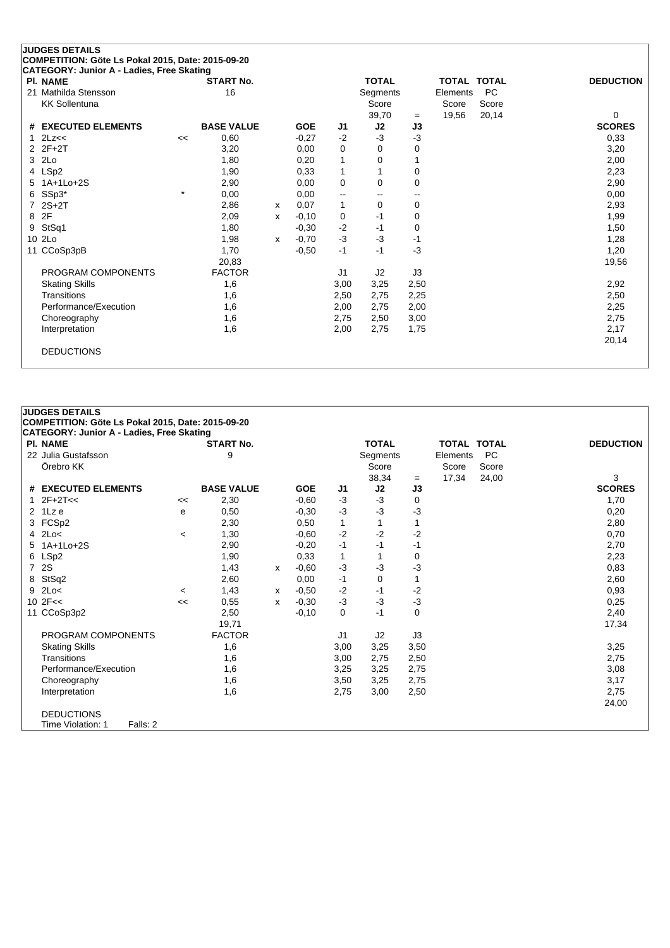| <b>JUDGES DETAILS</b><br>COMPETITION: Göte Ls Pokal 2015, Date: 2015-09-20 |         |                   |   |            |                |              |      |          |                    |                  |
|----------------------------------------------------------------------------|---------|-------------------|---|------------|----------------|--------------|------|----------|--------------------|------------------|
| CATEGORY: Junior A - Ladies, Free Skating                                  |         |                   |   |            |                |              |      |          |                    |                  |
| <b>PI. NAME</b>                                                            |         | <b>START No.</b>  |   |            |                | <b>TOTAL</b> |      |          | <b>TOTAL TOTAL</b> | <b>DEDUCTION</b> |
| Mathilda Stensson<br>21                                                    |         | 16                |   |            |                | Segments     |      | Elements | <b>PC</b>          |                  |
| <b>KK Sollentuna</b>                                                       |         |                   |   |            |                | Score        |      | Score    | Score              |                  |
|                                                                            |         |                   |   |            |                | 39,70        | $=$  | 19,56    | 20,14              | 0                |
| # EXECUTED ELEMENTS                                                        |         | <b>BASE VALUE</b> |   | <b>GOE</b> | J1             | J2           | J3   |          |                    | <b>SCORES</b>    |
| 2Lz<<                                                                      | <<      | 0,60              |   | $-0,27$    | $-2$           | -3           | $-3$ |          |                    | 0,33             |
| $2$ $2F+2T$                                                                |         | 3,20              |   | 0,00       | 0              | 0            | 0    |          |                    | 3,20             |
| 2Lo<br>3                                                                   |         | 1,80              |   | 0,20       | 1              | 0            |      |          |                    | 2,00             |
| LSp2<br>4                                                                  |         | 1,90              |   | 0,33       | $\mathbf{1}$   |              | 0    |          |                    | 2,23             |
| $1A+1Lo+2S$<br>5                                                           |         | 2,90              |   | 0,00       | $\mathbf 0$    | $\Omega$     | 0    |          |                    | 2,90             |
| SSp3*<br>6                                                                 | $\star$ | 0,00              |   | 0,00       | --             |              | $-$  |          |                    | 0,00             |
| $2S+2T$                                                                    |         | 2,86              | X | 0,07       | $\mathbf{1}$   | 0            | 0    |          |                    | 2,93             |
| 2F<br>8                                                                    |         | 2,09              | x | $-0,10$    | 0              | -1           | 0    |          |                    | 1,99             |
| StSq1<br>9                                                                 |         | 1,80              |   | $-0,30$    | $-2$           | -1           | 0    |          |                    | 1,50             |
| 10 2Lo                                                                     |         | 1,98              | x | $-0,70$    | $-3$           | $-3$         | $-1$ |          |                    | 1,28             |
| CCoSp3pB<br>11                                                             |         | 1,70              |   | $-0,50$    | $-1$           | $-1$         | $-3$ |          |                    | 1,20             |
|                                                                            |         | 20,83             |   |            |                |              |      |          |                    | 19,56            |
| PROGRAM COMPONENTS                                                         |         | <b>FACTOR</b>     |   |            | J <sub>1</sub> | J2           | J3   |          |                    |                  |
| <b>Skating Skills</b>                                                      |         | 1,6               |   |            | 3,00           | 3,25         | 2,50 |          |                    | 2,92             |
| Transitions                                                                |         | 1,6               |   |            | 2,50           | 2,75         | 2,25 |          |                    | 2,50             |
| Performance/Execution                                                      |         | 1,6               |   |            | 2,00           | 2,75         | 2,00 |          |                    | 2,25             |
| Choreography                                                               |         | 1,6               |   |            | 2,75           | 2,50         | 3,00 |          |                    | 2,75             |
| Interpretation                                                             |         | 1,6               |   |            | 2,00           | 2,75         | 1,75 |          |                    | 2,17             |
|                                                                            |         |                   |   |            |                |              |      |          |                    | 20,14            |
| <b>DEDUCTIONS</b>                                                          |         |                   |   |            |                |              |      |          |                    |                  |
|                                                                            |         |                   |   |            |                |              |      |          |                    |                  |

## **CATEGORY: Junior A - Ladies, Free Skating Pl. NAME START No. TOTAL TOTAL TOTAL DEDUCTION** 22 Julia Gustafsson 9 Segments Elements PC Score Score 38,34 = 17,34 24,00 3<br> **J2 J3** SCORES **# EXECUTED ELEMENTS BASE VALUE GOE J1 J2 J3 SCORES** 1  $2F+2T<<$ <br>
2  $1Lze$ <br>
2  $F+2T<<$ <br>
2  $1Lze$ <br>
2  $F+2T<<$ <br>
2  $F+2T<<$ <br>
2  $F+2T<<$ <br>
2  $F+2T<<$ <br>
2  $F+2T<<$ <br>
2  $F+2T<<$ <br>
2  $F+2T<<$ <br>
2  $F+2T<<$ <br>
2  $F+2T<<$ <br>
2  $F+2T<<$ 2 1Lz e <sup>e</sup> 0,50 -0,30 -3 -3 -3 0,20 3 FCSp2 2,30 0,50 1 1 2,80

**JUDGES DETAILS**

**COMPETITION: Göte Ls Pokal 2015, Date: 2015-09-20**

| 3 | FCSp2                         |         | 2,30          |   | 0,50    |              |      |      | 2,80  |
|---|-------------------------------|---------|---------------|---|---------|--------------|------|------|-------|
|   | $4$ 2Lo $<$                   | $\,<\,$ | 1,30          |   | $-0,60$ | $-2$         | $-2$ | -2   | 0,70  |
| 5 | 1A+1Lo+2S                     |         | 2,90          |   | $-0,20$ | $-1$         | -1   | -1   | 2,70  |
|   | 6 LSp2                        |         | 1,90          |   | 0,33    | $\mathbf{1}$ |      | 0    | 2,23  |
|   | 7 2S                          |         | 1,43          | x | $-0.60$ | $-3$         | $-3$ | $-3$ | 0,83  |
|   | 8 StSq2                       |         | 2,60          |   | 0,00    | $-1$         | 0    |      | 2,60  |
|   | $9$ 2Lo<                      | $\,<\,$ | 1,43          | x | $-0,50$ | $-2$         | -1   | -2   | 0,93  |
|   | 10 $2F <$                     | <<      | 0,55          | x | $-0,30$ | $-3$         | $-3$ | $-3$ | 0,25  |
|   | 11 CCoSp3p2                   |         | 2,50          |   | $-0,10$ | 0            | -1   | 0    | 2,40  |
|   |                               |         | 19,71         |   |         |              |      |      | 17,34 |
|   | PROGRAM COMPONENTS            |         | <b>FACTOR</b> |   |         | J1           | J2   | J3   |       |
|   | <b>Skating Skills</b>         |         | 1,6           |   |         | 3,00         | 3,25 | 3,50 | 3,25  |
|   | Transitions                   |         | 1,6           |   |         | 3,00         | 2,75 | 2,50 | 2,75  |
|   | Performance/Execution         |         | 1,6           |   |         | 3,25         | 3,25 | 2,75 | 3,08  |
|   | Choreography                  |         | 1,6           |   |         | 3,50         | 3,25 | 2,75 | 3,17  |
|   | Interpretation                |         | 1,6           |   |         | 2,75         | 3,00 | 2,50 | 2,75  |
|   |                               |         |               |   |         |              |      |      | 24,00 |
|   | <b>DEDUCTIONS</b>             |         |               |   |         |              |      |      |       |
|   | Time Violation: 1<br>Falls: 2 |         |               |   |         |              |      |      |       |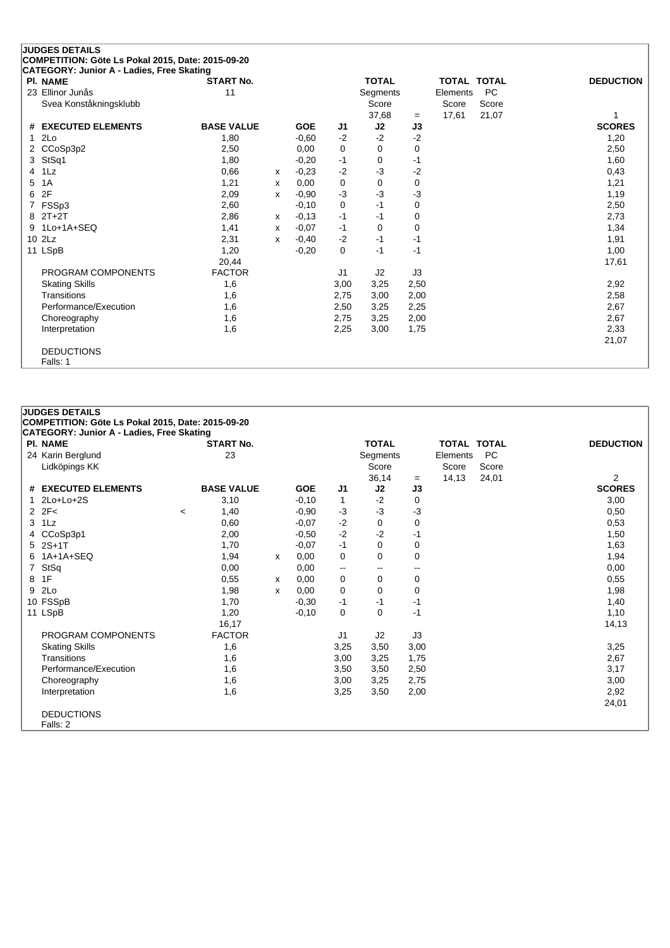| <b>JUDGES DETAILS</b><br>COMPETITION: Göte Ls Pokal 2015, Date: 2015-09-20 |                   |   |            |                |              |      |          |                    |                  |
|----------------------------------------------------------------------------|-------------------|---|------------|----------------|--------------|------|----------|--------------------|------------------|
| CATEGORY: Junior A - Ladies, Free Skating                                  |                   |   |            |                |              |      |          |                    |                  |
| PI. NAME                                                                   | <b>START No.</b>  |   |            |                | <b>TOTAL</b> |      |          | <b>TOTAL TOTAL</b> | <b>DEDUCTION</b> |
| 23 Ellinor Junås                                                           | 11                |   |            |                | Segments     |      | Elements | <b>PC</b>          |                  |
| Svea Konståkningsklubb                                                     |                   |   |            |                | Score        |      | Score    | Score              |                  |
|                                                                            |                   |   |            |                | 37,68        | $=$  | 17,61    | 21,07              | 1                |
| <b>EXECUTED ELEMENTS</b><br>#                                              | <b>BASE VALUE</b> |   | <b>GOE</b> | J <sub>1</sub> | J2           | J3   |          |                    | <b>SCORES</b>    |
| 2Lo                                                                        | 1,80              |   | $-0,60$    | $-2$           | $-2$         | $-2$ |          |                    | 1,20             |
| CCoSp3p2<br>2                                                              | 2,50              |   | 0.00       | 0              | 0            | 0    |          |                    | 2,50             |
| StSq1<br>3                                                                 | 1,80              |   | $-0,20$    | $-1$           | 0            | $-1$ |          |                    | 1,60             |
| 1 <sub>Lz</sub><br>4                                                       | 0,66              | x | $-0.23$    | $-2$           | -3           | $-2$ |          |                    | 0,43             |
| 1A<br>5                                                                    | 1,21              | х | 0,00       | 0              | $\Omega$     | 0    |          |                    | 1,21             |
| 2F<br>6                                                                    | 2,09              | X | $-0,90$    | $-3$           | $-3$         | -3   |          |                    | 1,19             |
| FSSp3                                                                      | 2,60              |   | $-0,10$    | 0              | $-1$         | 0    |          |                    | 2,50             |
| $2T+2T$<br>8                                                               | 2,86              | x | $-0,13$    | $-1$           | $-1$         | 0    |          |                    | 2,73             |
| 1Lo+1A+SEQ<br>9                                                            | 1,41              | x | $-0.07$    | $-1$           | $\Omega$     | 0    |          |                    | 1,34             |
| 10 2Lz                                                                     | 2,31              | X | $-0,40$    | $-2$           | $-1$         | $-1$ |          |                    | 1,91             |
| 11 LSpB                                                                    | 1,20              |   | $-0,20$    | 0              | $-1$         | $-1$ |          |                    | 1,00             |
|                                                                            | 20,44             |   |            |                |              |      |          |                    | 17,61            |
| PROGRAM COMPONENTS                                                         | <b>FACTOR</b>     |   |            | J1             | J2           | J3   |          |                    |                  |
| <b>Skating Skills</b>                                                      | 1,6               |   |            | 3,00           | 3,25         | 2,50 |          |                    | 2,92             |
| Transitions                                                                | 1,6               |   |            | 2,75           | 3,00         | 2,00 |          |                    | 2,58             |
| Performance/Execution                                                      | 1,6               |   |            | 2,50           | 3,25         | 2,25 |          |                    | 2,67             |
| Choreography                                                               | 1,6               |   |            | 2,75           | 3,25         | 2,00 |          |                    | 2,67             |
| Interpretation                                                             | 1,6               |   |            | 2,25           | 3,00         | 1,75 |          |                    | 2,33             |
|                                                                            |                   |   |            |                |              |      |          |                    | 21,07            |
| <b>DEDUCTIONS</b>                                                          |                   |   |            |                |              |      |          |                    |                  |
| Falls: 1                                                                   |                   |   |            |                |              |      |          |                    |                  |

|   | <b>JUDGES DETAILS</b><br>COMPETITION: Göte Ls Pokal 2015, Date: 2015-09-20 |                                  |   |            |                          |                          |                          |                    |           |                  |
|---|----------------------------------------------------------------------------|----------------------------------|---|------------|--------------------------|--------------------------|--------------------------|--------------------|-----------|------------------|
|   | <b>CATEGORY: Junior A - Ladies, Free Skating</b><br><b>PI. NAME</b>        | <b>START No.</b>                 |   |            |                          | <b>TOTAL</b>             |                          | <b>TOTAL TOTAL</b> |           | <b>DEDUCTION</b> |
|   | 24 Karin Berglund                                                          | 23                               |   |            |                          | Segments                 |                          | Elements           | <b>PC</b> |                  |
|   | Lidköpings KK                                                              |                                  |   |            |                          | Score                    |                          | Score              | Score     |                  |
|   |                                                                            |                                  |   |            |                          | 36,14                    | $=$                      | 14,13              | 24,01     | $\overline{2}$   |
|   | # EXECUTED ELEMENTS                                                        | <b>BASE VALUE</b>                |   | <b>GOE</b> | J1                       | J2                       | J3                       |                    |           | <b>SCORES</b>    |
|   | $2Lo+Lo+2S$                                                                | 3,10                             |   | $-0,10$    | $\mathbf{1}$             | $-2$                     | 0                        |                    |           | 3,00             |
|   | $2Z-F<$                                                                    | 1,40<br>$\overline{\phantom{a}}$ |   | $-0.90$    | $-3$                     | $-3$                     | -3                       |                    |           | 0,50             |
|   | $3$ 1 Lz                                                                   | 0,60                             |   | $-0.07$    | $-2$                     | $\Omega$                 | 0                        |                    |           | 0,53             |
|   | 4 CCoSp3p1                                                                 | 2,00                             |   | $-0.50$    | $-2$                     | $-2$                     | -1                       |                    |           | 1,50             |
|   | 5 2S+1T                                                                    | 1,70                             |   | $-0.07$    | $-1$                     | $\mathbf 0$              | 0                        |                    |           | 1,63             |
|   | 6 1A+1A+SEQ                                                                | 1,94                             | X | 0,00       | 0                        | 0                        | 0                        |                    |           | 1,94             |
|   | 7 StSq                                                                     | 0,00                             |   | 0,00       | $\overline{\phantom{a}}$ | $\overline{\phantom{a}}$ | $\overline{\phantom{a}}$ |                    |           | 0,00             |
| 8 | 1F                                                                         | 0,55                             | x | 0,00       | 0                        | 0                        | 0                        |                    |           | 0,55             |
| 9 | 2Lo                                                                        | 1,98                             | X | 0,00       | 0                        | 0                        | 0                        |                    |           | 1,98             |
|   | 10 FSSpB                                                                   | 1,70                             |   | $-0,30$    | $-1$                     | -1                       | -1                       |                    |           | 1,40             |
|   | 11 LSpB                                                                    | 1,20                             |   | $-0.10$    | $\mathbf 0$              | 0                        | -1                       |                    |           | 1,10             |
|   |                                                                            | 16,17                            |   |            |                          |                          |                          |                    |           | 14,13            |
|   | PROGRAM COMPONENTS                                                         | <b>FACTOR</b>                    |   |            | J <sub>1</sub>           | J2                       | J3                       |                    |           |                  |
|   | <b>Skating Skills</b>                                                      | 1,6                              |   |            | 3,25                     | 3,50                     | 3,00                     |                    |           | 3,25             |
|   | Transitions                                                                | 1,6                              |   |            | 3,00                     | 3,25                     | 1,75                     |                    |           | 2,67             |
|   | Performance/Execution                                                      | 1,6                              |   |            | 3,50                     | 3,50                     | 2,50                     |                    |           | 3,17             |
|   | Choreography                                                               | 1,6                              |   |            | 3,00                     | 3,25                     | 2,75                     |                    |           | 3,00             |
|   | Interpretation                                                             | 1,6                              |   |            | 3,25                     | 3,50                     | 2,00                     |                    |           | 2,92             |
|   |                                                                            |                                  |   |            |                          |                          |                          |                    |           | 24,01            |
|   | <b>DEDUCTIONS</b><br>Falls: 2                                              |                                  |   |            |                          |                          |                          |                    |           |                  |
|   |                                                                            |                                  |   |            |                          |                          |                          |                    |           |                  |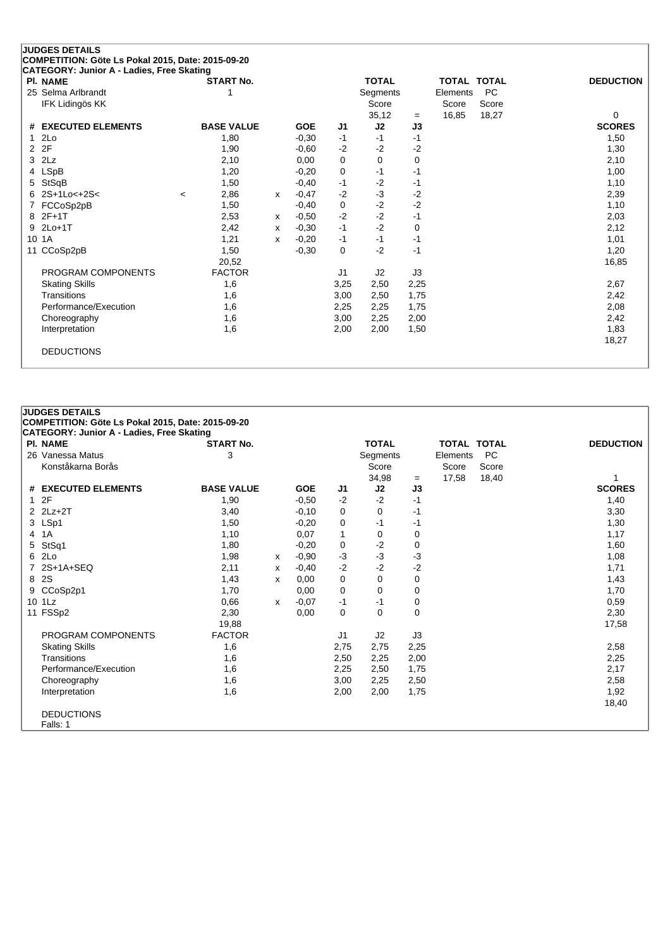|                 | <b>JUDGES DETAILS</b>                             |         |                   |              |            |             |              |          |          |                    |                  |
|-----------------|---------------------------------------------------|---------|-------------------|--------------|------------|-------------|--------------|----------|----------|--------------------|------------------|
|                 | COMPETITION: Göte Ls Pokal 2015, Date: 2015-09-20 |         |                   |              |            |             |              |          |          |                    |                  |
|                 | CATEGORY: Junior A - Ladies, Free Skating         |         |                   |              |            |             |              |          |          |                    |                  |
|                 | <b>PI. NAME</b>                                   |         | <b>START No.</b>  |              |            |             | <b>TOTAL</b> |          |          | <b>TOTAL TOTAL</b> | <b>DEDUCTION</b> |
|                 | 25 Selma Arlbrandt                                |         |                   |              |            |             | Segments     |          | Elements | <b>PC</b>          |                  |
|                 | IFK Lidingös KK                                   |         |                   |              |            |             | Score        |          | Score    | Score              |                  |
|                 |                                                   |         |                   |              |            |             | 35,12        | $=$      | 16,85    | 18,27              | 0                |
| #               | <b>EXECUTED ELEMENTS</b>                          |         | <b>BASE VALUE</b> |              | <b>GOE</b> | J1          | J2           | J3       |          |                    | <b>SCORES</b>    |
|                 | 2Lo                                               |         | 1,80              |              | $-0,30$    | $-1$        | $-1$         | $-1$     |          |                    | 1,50             |
| $\overline{2}$  | 2F                                                |         | 1,90              |              | $-0.60$    | $-2$        | $-2$         | -2       |          |                    | 1,30             |
| 3               | 2Lz                                               |         | 2,10              |              | 0,00       | $\Omega$    | $\Omega$     | $\Omega$ |          |                    | 2,10             |
| 4               | <b>LSpB</b>                                       |         | 1,20              |              | $-0,20$    | $\mathbf 0$ | $-1$         | $-1$     |          |                    | 1,00             |
| 5               | StSqB                                             |         | 1,50              |              | $-0,40$    | $-1$        | $-2$         | $-1$     |          |                    | 1,10             |
| 6               | 2S+1Lo<+2S<                                       | $\prec$ | 2,86              | $\mathsf{x}$ | $-0,47$    | $-2$        | $-3$         | $-2$     |          |                    | 2,39             |
|                 | FCCoSp2pB                                         |         | 1,50              |              | $-0,40$    | 0           | $-2$         | $-2$     |          |                    | 1,10             |
| 8               | $2F+1T$                                           |         | 2,53              | x            | $-0.50$    | $-2$        | $-2$         | $-1$     |          |                    | 2,03             |
| 9               | $2Lo+1T$                                          |         | 2,42              | X            | $-0,30$    | $-1$        | $-2$         | 0        |          |                    | 2,12             |
| 10 <sup>1</sup> | 1A                                                |         | 1,21              | X            | $-0,20$    | $-1$        | $-1$         | $-1$     |          |                    | 1,01             |
| 11              | CCoSp2pB                                          |         | 1,50              |              | $-0,30$    | $\mathbf 0$ | $-2$         | $-1$     |          |                    | 1,20             |
|                 |                                                   |         | 20,52             |              |            |             |              |          |          |                    | 16,85            |
|                 | PROGRAM COMPONENTS                                |         | <b>FACTOR</b>     |              |            | J1          | J2           | J3       |          |                    |                  |
|                 | <b>Skating Skills</b>                             |         | 1,6               |              |            | 3,25        | 2,50         | 2,25     |          |                    | 2,67             |
|                 | Transitions                                       |         | 1,6               |              |            | 3,00        | 2,50         | 1,75     |          |                    | 2,42             |
|                 | Performance/Execution                             |         | 1,6               |              |            | 2,25        | 2,25         | 1,75     |          |                    | 2,08             |
|                 | Choreography                                      |         | 1,6               |              |            | 3,00        | 2,25         | 2,00     |          |                    | 2,42             |
|                 | Interpretation                                    |         | 1,6               |              |            | 2,00        | 2,00         | 1,50     |          |                    | 1,83             |
|                 |                                                   |         |                   |              |            |             |              |          |          |                    | 18,27            |
|                 | <b>DEDUCTIONS</b>                                 |         |                   |              |            |             |              |          |          |                    |                  |
|                 |                                                   |         |                   |              |            |             |              |          |          |                    |                  |

|   | <b>JUDGES DETAILS</b>                             |                   |   |            |                |              |             |                    |           |                  |
|---|---------------------------------------------------|-------------------|---|------------|----------------|--------------|-------------|--------------------|-----------|------------------|
|   | COMPETITION: Göte Ls Pokal 2015, Date: 2015-09-20 |                   |   |            |                |              |             |                    |           |                  |
|   | <b>CATEGORY: Junior A - Ladies, Free Skating</b>  |                   |   |            |                |              |             |                    |           |                  |
|   | <b>PI. NAME</b>                                   | <b>START No.</b>  |   |            |                | <b>TOTAL</b> |             | <b>TOTAL TOTAL</b> |           | <b>DEDUCTION</b> |
|   | 26 Vanessa Matus                                  | 3                 |   |            |                | Segments     |             | Elements           | <b>PC</b> |                  |
|   | Konståkarna Borås                                 |                   |   |            |                | Score        |             | Score              | Score     |                  |
|   |                                                   |                   |   |            |                | 34,98        | $=$         | 17,58              | 18,40     |                  |
|   | # EXECUTED ELEMENTS                               | <b>BASE VALUE</b> |   | <b>GOE</b> | J1             | J2           | J3          |                    |           | <b>SCORES</b>    |
|   | 12F                                               | 1,90              |   | $-0,50$    | $-2$           | $-2$         | -1          |                    |           | 1,40             |
|   | $2$ $2Lz+2T$                                      | 3,40              |   | $-0.10$    | 0              | 0            | -1          |                    |           | 3,30             |
|   | 3 LSp1                                            | 1,50              |   | $-0,20$    | 0              | -1           | -1          |                    |           | 1,30             |
|   | 4 1A                                              | 1,10              |   | 0,07       | 1              | 0            | 0           |                    |           | 1,17             |
|   | 5 StSq1                                           | 1,80              |   | $-0.20$    | 0              | $-2$         | 0           |                    |           | 1,60             |
| 6 | 2Lo                                               | 1,98              | x | $-0.90$    | $-3$           | $-3$         | $-3$        |                    |           | 1,08             |
|   | 2S+1A+SEQ                                         | 2,11              | x | $-0.40$    | $-2$           | $-2$         | $-2$        |                    |           | 1,71             |
|   | 8 2S                                              | 1,43              | x | 0,00       | 0              | $\Omega$     | $\mathbf 0$ |                    |           | 1,43             |
|   | 9 CCoSp2p1                                        | 1,70              |   | 0,00       | 0              | 0            | 0           |                    |           | 1,70             |
|   | 10 1Lz                                            | 0,66              | X | $-0.07$    | -1             | -1           | 0           |                    |           | 0,59             |
|   | 11 FSSp2                                          | 2,30              |   | 0,00       | $\mathbf 0$    | $\mathbf 0$  | $\mathbf 0$ |                    |           | 2,30             |
|   |                                                   | 19,88             |   |            |                |              |             |                    |           | 17,58            |
|   | PROGRAM COMPONENTS                                | <b>FACTOR</b>     |   |            | J <sub>1</sub> | J2           | J3          |                    |           |                  |
|   | <b>Skating Skills</b>                             | 1,6               |   |            | 2,75           | 2,75         | 2,25        |                    |           | 2,58             |
|   | Transitions                                       | 1,6               |   |            | 2,50           | 2,25         | 2,00        |                    |           | 2,25             |
|   | Performance/Execution                             | 1,6               |   |            | 2,25           | 2,50         | 1,75        |                    |           | 2,17             |
|   | Choreography                                      | 1,6               |   |            | 3,00           | 2,25         | 2,50        |                    |           | 2,58             |
|   | Interpretation                                    | 1,6               |   |            | 2,00           | 2,00         | 1,75        |                    |           | 1,92             |
|   |                                                   |                   |   |            |                |              |             |                    |           | 18,40            |
|   | <b>DEDUCTIONS</b>                                 |                   |   |            |                |              |             |                    |           |                  |
|   | Falls: 1                                          |                   |   |            |                |              |             |                    |           |                  |